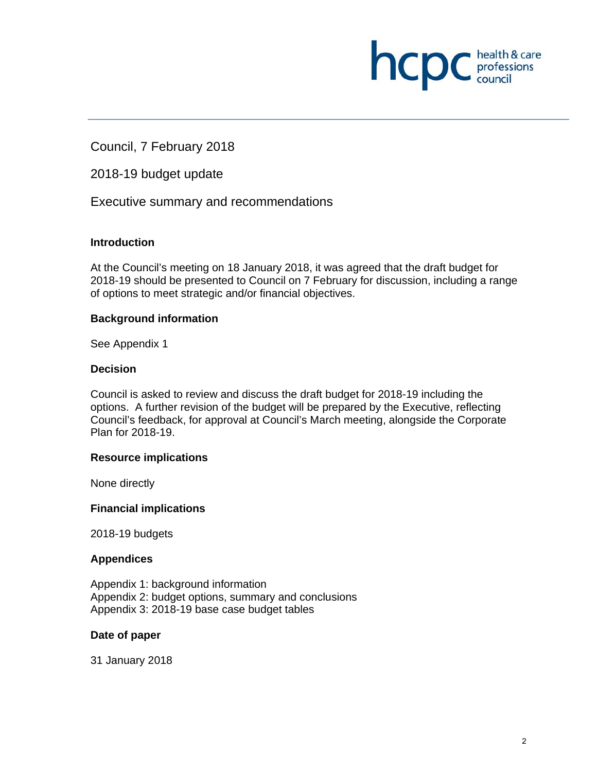

Council, 7 February 2018

2018-19 budget update

Executive summary and recommendations

#### **Introduction**

At the Council's meeting on 18 January 2018, it was agreed that the draft budget for 2018-19 should be presented to Council on 7 February for discussion, including a range of options to meet strategic and/or financial objectives.

#### **Background information**

See Appendix 1

#### **Decision**

Council is asked to review and discuss the draft budget for 2018-19 including the options. A further revision of the budget will be prepared by the Executive, reflecting Council's feedback, for approval at Council's March meeting, alongside the Corporate Plan for 2018-19.

#### **Resource implications**

None directly

#### **Financial implications**

2018-19 budgets

#### **Appendices**

Appendix 1: background information Appendix 2: budget options, summary and conclusions Appendix 3: 2018-19 base case budget tables

#### **Date of paper**

31 January 2018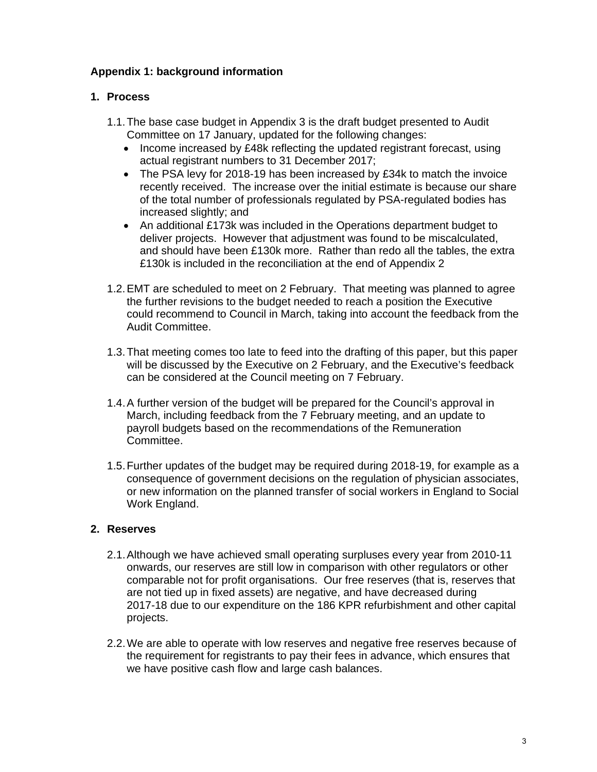## **Appendix 1: background information**

## **1. Process**

- 1.1. The base case budget in Appendix 3 is the draft budget presented to Audit Committee on 17 January, updated for the following changes:
	- Income increased by £48k reflecting the updated registrant forecast, using actual registrant numbers to 31 December 2017;
	- The PSA levy for 2018-19 has been increased by £34k to match the invoice recently received. The increase over the initial estimate is because our share of the total number of professionals regulated by PSA-regulated bodies has increased slightly; and
	- An additional £173k was included in the Operations department budget to deliver projects. However that adjustment was found to be miscalculated, and should have been £130k more. Rather than redo all the tables, the extra £130k is included in the reconciliation at the end of Appendix 2
- 1.2. EMT are scheduled to meet on 2 February. That meeting was planned to agree the further revisions to the budget needed to reach a position the Executive could recommend to Council in March, taking into account the feedback from the Audit Committee.
- 1.3. That meeting comes too late to feed into the drafting of this paper, but this paper will be discussed by the Executive on 2 February, and the Executive's feedback can be considered at the Council meeting on 7 February.
- 1.4. A further version of the budget will be prepared for the Council's approval in March, including feedback from the 7 February meeting, and an update to payroll budgets based on the recommendations of the Remuneration Committee.
- 1.5. Further updates of the budget may be required during 2018-19, for example as a consequence of government decisions on the regulation of physician associates, or new information on the planned transfer of social workers in England to Social Work England.

## **2. Reserves**

- 2.1. Although we have achieved small operating surpluses every year from 2010-11 onwards, our reserves are still low in comparison with other regulators or other comparable not for profit organisations. Our free reserves (that is, reserves that are not tied up in fixed assets) are negative, and have decreased during 2017-18 due to our expenditure on the 186 KPR refurbishment and other capital projects.
- 2.2. We are able to operate with low reserves and negative free reserves because of the requirement for registrants to pay their fees in advance, which ensures that we have positive cash flow and large cash balances.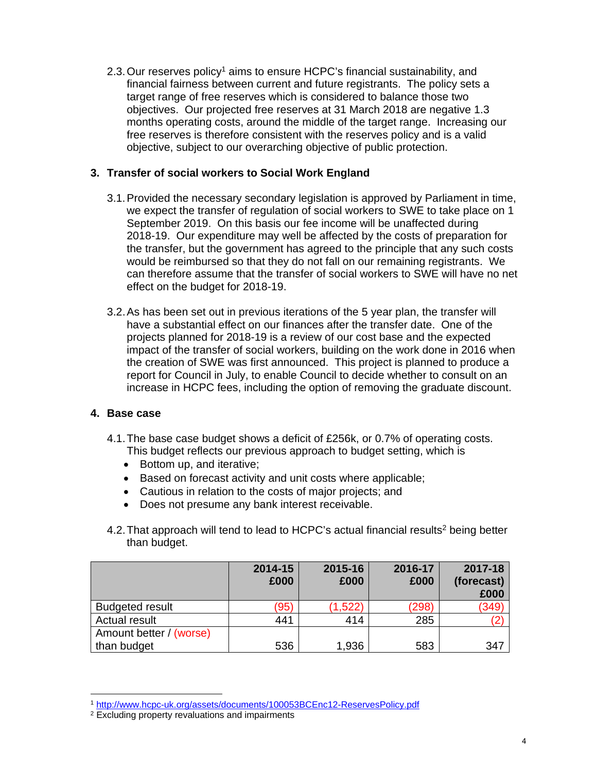2.3. Our reserves policy<sup>1</sup> aims to ensure HCPC's financial sustainability, and financial fairness between current and future registrants. The policy sets a target range of free reserves which is considered to balance those two objectives. Our projected free reserves at 31 March 2018 are negative 1.3 months operating costs, around the middle of the target range. Increasing our free reserves is therefore consistent with the reserves policy and is a valid objective, subject to our overarching objective of public protection.

### **3. Transfer of social workers to Social Work England**

- 3.1. Provided the necessary secondary legislation is approved by Parliament in time, we expect the transfer of regulation of social workers to SWE to take place on 1 September 2019. On this basis our fee income will be unaffected during 2018-19. Our expenditure may well be affected by the costs of preparation for the transfer, but the government has agreed to the principle that any such costs would be reimbursed so that they do not fall on our remaining registrants. We can therefore assume that the transfer of social workers to SWE will have no net effect on the budget for 2018-19.
- 3.2. As has been set out in previous iterations of the 5 year plan, the transfer will have a substantial effect on our finances after the transfer date. One of the projects planned for 2018-19 is a review of our cost base and the expected impact of the transfer of social workers, building on the work done in 2016 when the creation of SWE was first announced. This project is planned to produce a report for Council in July, to enable Council to decide whether to consult on an increase in HCPC fees, including the option of removing the graduate discount.

#### **4. Base case**

- 4.1. The base case budget shows a deficit of £256k, or 0.7% of operating costs. This budget reflects our previous approach to budget setting, which is
	- Bottom up, and iterative;
	- Based on forecast activity and unit costs where applicable;
	- Cautious in relation to the costs of major projects; and
	- Does not presume any bank interest receivable.
- 4.2. That approach will tend to lead to HCPC's actual financial results<sup>2</sup> being better than budget.

|                         | 2014-15<br>£000 | 2015-16<br>£000 | 2016-17<br>£000 | 2017-18<br>(forecast)<br>£000 |
|-------------------------|-----------------|-----------------|-----------------|-------------------------------|
| <b>Budgeted result</b>  | (95)            | (1,522)         | (298)           | (349                          |
| <b>Actual result</b>    | 441             | 414             | 285             |                               |
| Amount better / (worse) |                 |                 |                 |                               |
| than budget             | 536             | 1,936           | 583             | 347                           |

 

<sup>&</sup>lt;sup>1</sup> <u>http://www.hcpc-uk.org/assets/documents/100053BCEnc12-ReservesPolicy.pdf</u><br><sup>2</sup> Excluding property revaluations and impairments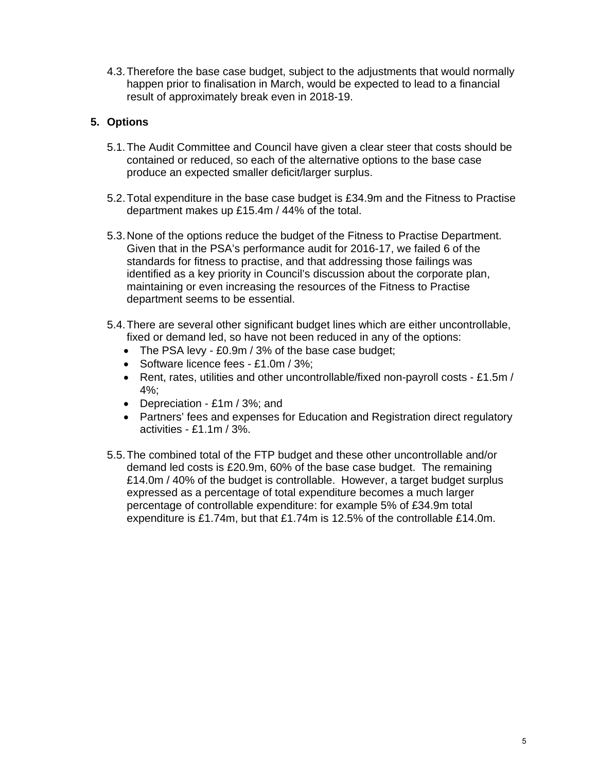4.3. Therefore the base case budget, subject to the adjustments that would normally happen prior to finalisation in March, would be expected to lead to a financial result of approximately break even in 2018-19.

## **5. Options**

- 5.1. The Audit Committee and Council have given a clear steer that costs should be contained or reduced, so each of the alternative options to the base case produce an expected smaller deficit/larger surplus.
- 5.2. Total expenditure in the base case budget is £34.9m and the Fitness to Practise department makes up £15.4m / 44% of the total.
- 5.3. None of the options reduce the budget of the Fitness to Practise Department. Given that in the PSA's performance audit for 2016-17, we failed 6 of the standards for fitness to practise, and that addressing those failings was identified as a key priority in Council's discussion about the corporate plan, maintaining or even increasing the resources of the Fitness to Practise department seems to be essential.
- 5.4. There are several other significant budget lines which are either uncontrollable, fixed or demand led, so have not been reduced in any of the options:
	- The PSA levy £0.9m / 3% of the base case budget;
	- Software licence fees £1.0m / 3%;
	- Rent, rates, utilities and other uncontrollable/fixed non-payroll costs £1.5m / 4%;
	- Depreciation £1m / 3%; and
	- Partners' fees and expenses for Education and Registration direct regulatory activities - £1.1m / 3%.
- 5.5. The combined total of the FTP budget and these other uncontrollable and/or demand led costs is £20.9m, 60% of the base case budget. The remaining £14.0m / 40% of the budget is controllable. However, a target budget surplus expressed as a percentage of total expenditure becomes a much larger percentage of controllable expenditure: for example 5% of £34.9m total expenditure is £1.74m, but that £1.74m is 12.5% of the controllable £14.0m.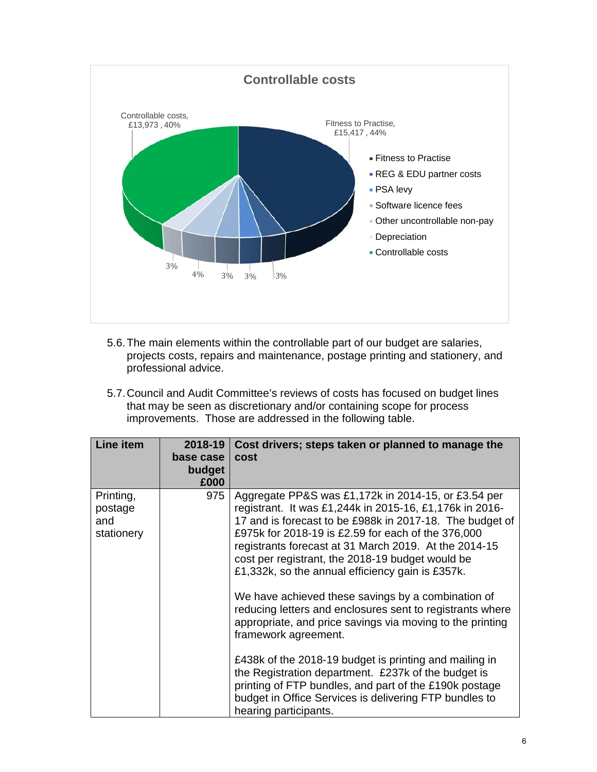

- 5.6. The main elements within the controllable part of our budget are salaries, projects costs, repairs and maintenance, postage printing and stationery, and professional advice.
- 5.7. Council and Audit Committee's reviews of costs has focused on budget lines that may be seen as discretionary and/or containing scope for process improvements. Those are addressed in the following table.

| <b>Line item</b>                          | 2018-19<br>base case<br>budget<br>£000 | Cost drivers; steps taken or planned to manage the<br>cost                                                                                                                                                                                                                                                                                                                                                                                                                                                                                                                                                                                                                                                                                                                                                                                                              |
|-------------------------------------------|----------------------------------------|-------------------------------------------------------------------------------------------------------------------------------------------------------------------------------------------------------------------------------------------------------------------------------------------------------------------------------------------------------------------------------------------------------------------------------------------------------------------------------------------------------------------------------------------------------------------------------------------------------------------------------------------------------------------------------------------------------------------------------------------------------------------------------------------------------------------------------------------------------------------------|
| Printing,<br>postage<br>and<br>stationery | 975                                    | Aggregate PP&S was £1,172k in 2014-15, or £3.54 per<br>registrant. It was £1,244k in 2015-16, £1,176k in 2016-<br>17 and is forecast to be £988k in 2017-18. The budget of<br>£975k for 2018-19 is £2.59 for each of the 376,000<br>registrants forecast at 31 March 2019. At the 2014-15<br>cost per registrant, the 2018-19 budget would be<br>£1,332k, so the annual efficiency gain is £357k.<br>We have achieved these savings by a combination of<br>reducing letters and enclosures sent to registrants where<br>appropriate, and price savings via moving to the printing<br>framework agreement.<br>£438k of the 2018-19 budget is printing and mailing in<br>the Registration department. £237k of the budget is<br>printing of FTP bundles, and part of the £190k postage<br>budget in Office Services is delivering FTP bundles to<br>hearing participants. |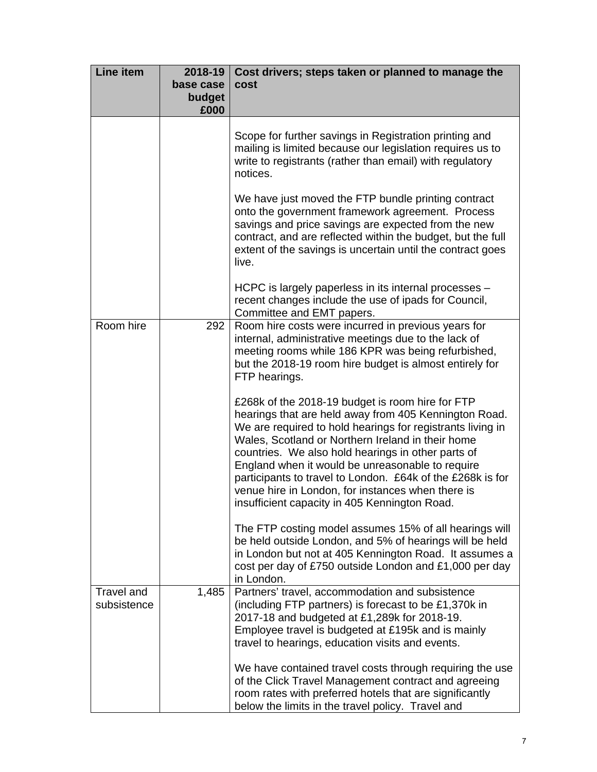| <b>Line item</b>                 | 2018-19<br>base case<br>budget<br>£000 | Cost drivers; steps taken or planned to manage the<br>cost                                                                                                                                                                                                                                                                                                                                                                                                                                                 |
|----------------------------------|----------------------------------------|------------------------------------------------------------------------------------------------------------------------------------------------------------------------------------------------------------------------------------------------------------------------------------------------------------------------------------------------------------------------------------------------------------------------------------------------------------------------------------------------------------|
|                                  |                                        | Scope for further savings in Registration printing and<br>mailing is limited because our legislation requires us to<br>write to registrants (rather than email) with regulatory<br>notices.                                                                                                                                                                                                                                                                                                                |
|                                  |                                        | We have just moved the FTP bundle printing contract<br>onto the government framework agreement. Process<br>savings and price savings are expected from the new<br>contract, and are reflected within the budget, but the full<br>extent of the savings is uncertain until the contract goes<br>live.                                                                                                                                                                                                       |
|                                  |                                        | HCPC is largely paperless in its internal processes -<br>recent changes include the use of ipads for Council,<br>Committee and EMT papers.                                                                                                                                                                                                                                                                                                                                                                 |
| Room hire                        | 292                                    | Room hire costs were incurred in previous years for<br>internal, administrative meetings due to the lack of<br>meeting rooms while 186 KPR was being refurbished,<br>but the 2018-19 room hire budget is almost entirely for<br>FTP hearings.                                                                                                                                                                                                                                                              |
|                                  |                                        | £268k of the 2018-19 budget is room hire for FTP<br>hearings that are held away from 405 Kennington Road.<br>We are required to hold hearings for registrants living in<br>Wales, Scotland or Northern Ireland in their home<br>countries. We also hold hearings in other parts of<br>England when it would be unreasonable to require<br>participants to travel to London. £64k of the £268k is for<br>venue hire in London, for instances when there is<br>insufficient capacity in 405 Kennington Road. |
|                                  |                                        | The FTP costing model assumes 15% of all hearings will<br>be held outside London, and 5% of hearings will be held<br>in London but not at 405 Kennington Road. It assumes a<br>cost per day of £750 outside London and £1,000 per day<br>in London.                                                                                                                                                                                                                                                        |
| <b>Travel and</b><br>subsistence | 1,485                                  | Partners' travel, accommodation and subsistence<br>(including FTP partners) is forecast to be £1,370k in<br>2017-18 and budgeted at £1,289k for 2018-19.<br>Employee travel is budgeted at £195k and is mainly<br>travel to hearings, education visits and events.                                                                                                                                                                                                                                         |
|                                  |                                        | We have contained travel costs through requiring the use<br>of the Click Travel Management contract and agreeing<br>room rates with preferred hotels that are significantly<br>below the limits in the travel policy. Travel and                                                                                                                                                                                                                                                                           |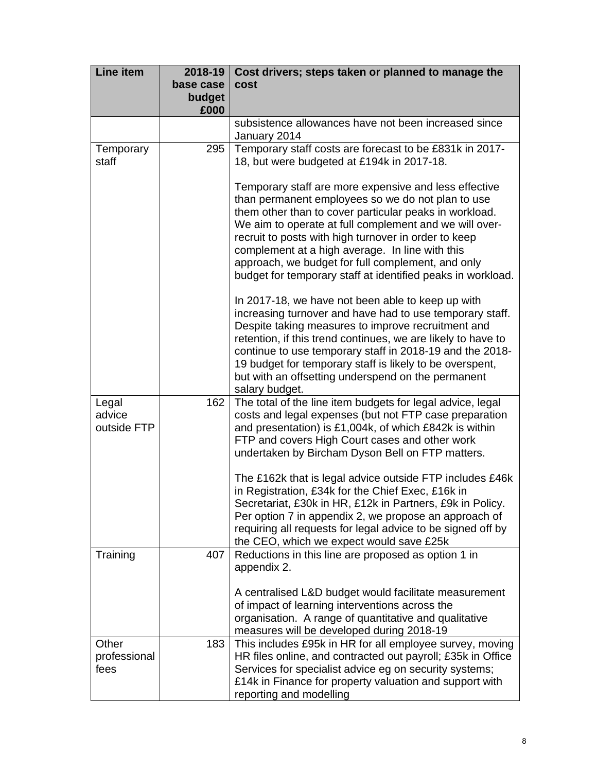| <b>Line item</b>               | 2018-19<br>base case | Cost drivers; steps taken or planned to manage the<br>cost                                                                                                                                                                                                                                                                                                                                                                                                    |
|--------------------------------|----------------------|---------------------------------------------------------------------------------------------------------------------------------------------------------------------------------------------------------------------------------------------------------------------------------------------------------------------------------------------------------------------------------------------------------------------------------------------------------------|
|                                | budget<br>£000       |                                                                                                                                                                                                                                                                                                                                                                                                                                                               |
|                                |                      | subsistence allowances have not been increased since<br>January 2014                                                                                                                                                                                                                                                                                                                                                                                          |
| Temporary<br>staff             | 295                  | Temporary staff costs are forecast to be £831k in 2017-<br>18, but were budgeted at £194k in 2017-18.                                                                                                                                                                                                                                                                                                                                                         |
|                                |                      | Temporary staff are more expensive and less effective<br>than permanent employees so we do not plan to use<br>them other than to cover particular peaks in workload.<br>We aim to operate at full complement and we will over-<br>recruit to posts with high turnover in order to keep<br>complement at a high average. In line with this<br>approach, we budget for full complement, and only<br>budget for temporary staff at identified peaks in workload. |
|                                |                      | In 2017-18, we have not been able to keep up with<br>increasing turnover and have had to use temporary staff.<br>Despite taking measures to improve recruitment and<br>retention, if this trend continues, we are likely to have to<br>continue to use temporary staff in 2018-19 and the 2018-<br>19 budget for temporary staff is likely to be overspent,<br>but with an offsetting underspend on the permanent<br>salary budget.                           |
| Legal<br>advice<br>outside FTP | 162                  | The total of the line item budgets for legal advice, legal<br>costs and legal expenses (but not FTP case preparation<br>and presentation) is £1,004k, of which £842k is within<br>FTP and covers High Court cases and other work<br>undertaken by Bircham Dyson Bell on FTP matters.                                                                                                                                                                          |
|                                |                      | The £162k that is legal advice outside FTP includes £46k<br>in Registration, £34k for the Chief Exec, £16k in<br>Secretariat, £30k in HR, £12k in Partners, £9k in Policy.<br>Per option 7 in appendix 2, we propose an approach of<br>requiring all requests for legal advice to be signed off by<br>the CEO, which we expect would save £25k                                                                                                                |
| Training                       | 407                  | Reductions in this line are proposed as option 1 in<br>appendix 2.                                                                                                                                                                                                                                                                                                                                                                                            |
|                                |                      | A centralised L&D budget would facilitate measurement<br>of impact of learning interventions across the<br>organisation. A range of quantitative and qualitative<br>measures will be developed during 2018-19                                                                                                                                                                                                                                                 |
| Other<br>professional<br>fees  | 183                  | This includes £95k in HR for all employee survey, moving<br>HR files online, and contracted out payroll; £35k in Office<br>Services for specialist advice eg on security systems;<br>£14k in Finance for property valuation and support with<br>reporting and modelling                                                                                                                                                                                       |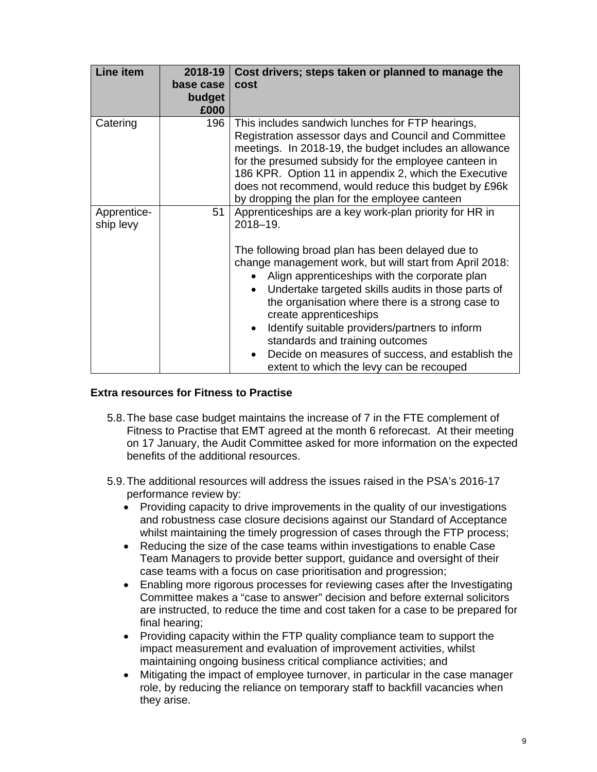| <b>Line item</b>         | 2018-19<br>base case<br>budget<br>£000 | Cost drivers; steps taken or planned to manage the<br>cost                                                                                                                                                                                                                                                                                                                                                                                                                                                                                                                                         |
|--------------------------|----------------------------------------|----------------------------------------------------------------------------------------------------------------------------------------------------------------------------------------------------------------------------------------------------------------------------------------------------------------------------------------------------------------------------------------------------------------------------------------------------------------------------------------------------------------------------------------------------------------------------------------------------|
| Catering                 | 196                                    | This includes sandwich lunches for FTP hearings,<br>Registration assessor days and Council and Committee<br>meetings. In 2018-19, the budget includes an allowance<br>for the presumed subsidy for the employee canteen in<br>186 KPR. Option 11 in appendix 2, which the Executive<br>does not recommend, would reduce this budget by £96k<br>by dropping the plan for the employee canteen                                                                                                                                                                                                       |
| Apprentice-<br>ship levy | 51                                     | Apprenticeships are a key work-plan priority for HR in<br>2018-19.<br>The following broad plan has been delayed due to<br>change management work, but will start from April 2018:<br>Align apprenticeships with the corporate plan<br>Undertake targeted skills audits in those parts of<br>$\bullet$<br>the organisation where there is a strong case to<br>create apprenticeships<br>Identify suitable providers/partners to inform<br>$\bullet$<br>standards and training outcomes<br>Decide on measures of success, and establish the<br>$\bullet$<br>extent to which the levy can be recouped |

#### **Extra resources for Fitness to Practise**

- 5.8. The base case budget maintains the increase of 7 in the FTE complement of Fitness to Practise that EMT agreed at the month 6 reforecast. At their meeting on 17 January, the Audit Committee asked for more information on the expected benefits of the additional resources.
- 5.9. The additional resources will address the issues raised in the PSA's 2016-17 performance review by:
	- Providing capacity to drive improvements in the quality of our investigations and robustness case closure decisions against our Standard of Acceptance whilst maintaining the timely progression of cases through the FTP process;
	- Reducing the size of the case teams within investigations to enable Case Team Managers to provide better support, guidance and oversight of their case teams with a focus on case prioritisation and progression;
	- Enabling more rigorous processes for reviewing cases after the Investigating Committee makes a "case to answer" decision and before external solicitors are instructed, to reduce the time and cost taken for a case to be prepared for final hearing;
	- Providing capacity within the FTP quality compliance team to support the impact measurement and evaluation of improvement activities, whilst maintaining ongoing business critical compliance activities; and
	- Mitigating the impact of employee turnover, in particular in the case manager role, by reducing the reliance on temporary staff to backfill vacancies when they arise.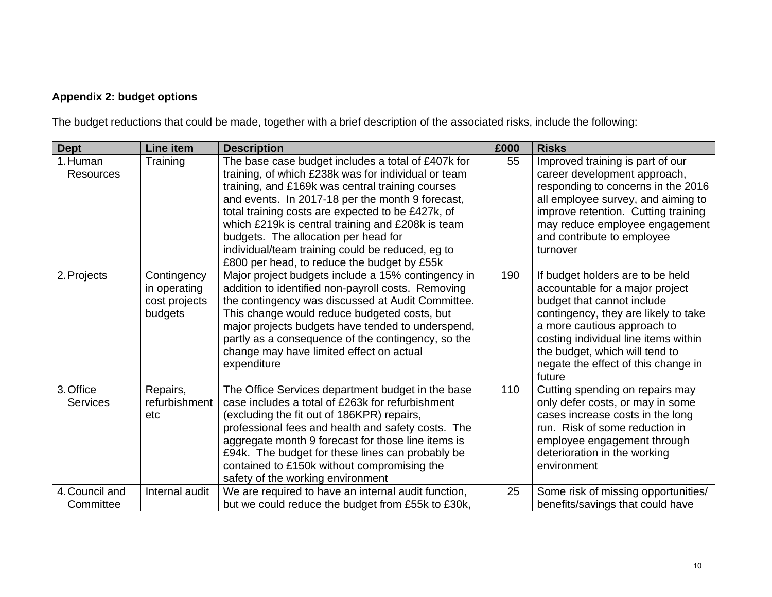## **Appendix 2: budget options**

The budget reductions that could be made, together with a brief description of the associated risks, include the following:

| <b>Dept</b>                  | Line item                                               | <b>Description</b>                                                                                                                                                                                                                                                                                                                                                                                      | £000 | <b>Risks</b>                                                                                                                                                                                                                                                                                        |
|------------------------------|---------------------------------------------------------|---------------------------------------------------------------------------------------------------------------------------------------------------------------------------------------------------------------------------------------------------------------------------------------------------------------------------------------------------------------------------------------------------------|------|-----------------------------------------------------------------------------------------------------------------------------------------------------------------------------------------------------------------------------------------------------------------------------------------------------|
| 1. Human<br><b>Resources</b> | Training                                                | The base case budget includes a total of £407k for<br>training, of which £238k was for individual or team                                                                                                                                                                                                                                                                                               | 55   | Improved training is part of our<br>career development approach,                                                                                                                                                                                                                                    |
|                              |                                                         | training, and £169k was central training courses                                                                                                                                                                                                                                                                                                                                                        |      | responding to concerns in the 2016                                                                                                                                                                                                                                                                  |
|                              |                                                         | and events. In 2017-18 per the month 9 forecast,<br>total training costs are expected to be £427k, of                                                                                                                                                                                                                                                                                                   |      | all employee survey, and aiming to<br>improve retention. Cutting training                                                                                                                                                                                                                           |
|                              |                                                         | which £219k is central training and £208k is team                                                                                                                                                                                                                                                                                                                                                       |      | may reduce employee engagement                                                                                                                                                                                                                                                                      |
|                              |                                                         | budgets. The allocation per head for<br>individual/team training could be reduced, eg to                                                                                                                                                                                                                                                                                                                |      | and contribute to employee<br>turnover                                                                                                                                                                                                                                                              |
|                              |                                                         | £800 per head, to reduce the budget by £55k                                                                                                                                                                                                                                                                                                                                                             |      |                                                                                                                                                                                                                                                                                                     |
| 2. Projects                  | Contingency<br>in operating<br>cost projects<br>budgets | Major project budgets include a 15% contingency in<br>addition to identified non-payroll costs. Removing<br>the contingency was discussed at Audit Committee.<br>This change would reduce budgeted costs, but<br>major projects budgets have tended to underspend,<br>partly as a consequence of the contingency, so the<br>change may have limited effect on actual<br>expenditure                     | 190  | If budget holders are to be held<br>accountable for a major project<br>budget that cannot include<br>contingency, they are likely to take<br>a more cautious approach to<br>costing individual line items within<br>the budget, which will tend to<br>negate the effect of this change in<br>future |
| 3. Office<br><b>Services</b> | Repairs,<br>refurbishment<br>etc                        | The Office Services department budget in the base<br>case includes a total of £263k for refurbishment<br>(excluding the fit out of 186KPR) repairs,<br>professional fees and health and safety costs. The<br>aggregate month 9 forecast for those line items is<br>£94k. The budget for these lines can probably be<br>contained to £150k without compromising the<br>safety of the working environment | 110  | Cutting spending on repairs may<br>only defer costs, or may in some<br>cases increase costs in the long<br>run. Risk of some reduction in<br>employee engagement through<br>deterioration in the working<br>environment                                                                             |
| 4. Council and<br>Committee  | Internal audit                                          | We are required to have an internal audit function,<br>but we could reduce the budget from £55k to £30k,                                                                                                                                                                                                                                                                                                | 25   | Some risk of missing opportunities/<br>benefits/savings that could have                                                                                                                                                                                                                             |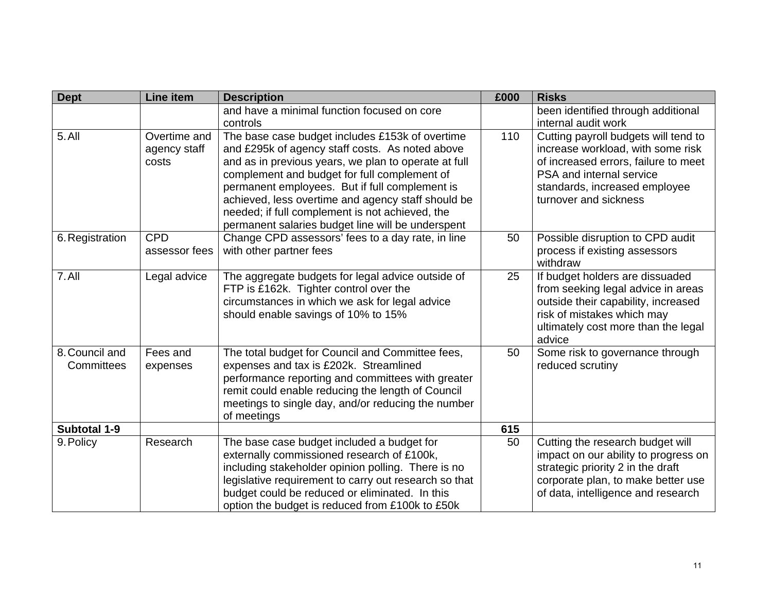| <b>Dept</b>                  | <b>Line item</b>                      | <b>Description</b>                                                                                                                                                                                                                                                                                                                                                                                                         | £000 | <b>Risks</b>                                                                                                                                                                                            |
|------------------------------|---------------------------------------|----------------------------------------------------------------------------------------------------------------------------------------------------------------------------------------------------------------------------------------------------------------------------------------------------------------------------------------------------------------------------------------------------------------------------|------|---------------------------------------------------------------------------------------------------------------------------------------------------------------------------------------------------------|
|                              |                                       | and have a minimal function focused on core<br>controls                                                                                                                                                                                                                                                                                                                                                                    |      | been identified through additional<br>internal audit work                                                                                                                                               |
| 5.All                        | Overtime and<br>agency staff<br>costs | The base case budget includes £153k of overtime<br>and £295k of agency staff costs. As noted above<br>and as in previous years, we plan to operate at full<br>complement and budget for full complement of<br>permanent employees. But if full complement is<br>achieved, less overtime and agency staff should be<br>needed; if full complement is not achieved, the<br>permanent salaries budget line will be underspent | 110  | Cutting payroll budgets will tend to<br>increase workload, with some risk<br>of increased errors, failure to meet<br>PSA and internal service<br>standards, increased employee<br>turnover and sickness |
| 6. Registration              | <b>CPD</b><br>assessor fees           | Change CPD assessors' fees to a day rate, in line<br>with other partner fees                                                                                                                                                                                                                                                                                                                                               | 50   | Possible disruption to CPD audit<br>process if existing assessors<br>withdraw                                                                                                                           |
| 7.All                        | Legal advice                          | The aggregate budgets for legal advice outside of<br>FTP is £162k. Tighter control over the<br>circumstances in which we ask for legal advice<br>should enable savings of 10% to 15%                                                                                                                                                                                                                                       | 25   | If budget holders are dissuaded<br>from seeking legal advice in areas<br>outside their capability, increased<br>risk of mistakes which may<br>ultimately cost more than the legal<br>advice             |
| 8. Council and<br>Committees | Fees and<br>expenses                  | The total budget for Council and Committee fees,<br>expenses and tax is £202k. Streamlined<br>performance reporting and committees with greater<br>remit could enable reducing the length of Council<br>meetings to single day, and/or reducing the number<br>of meetings                                                                                                                                                  | 50   | Some risk to governance through<br>reduced scrutiny                                                                                                                                                     |
| Subtotal 1-9                 |                                       |                                                                                                                                                                                                                                                                                                                                                                                                                            | 615  |                                                                                                                                                                                                         |
| 9. Policy                    | Research                              | The base case budget included a budget for<br>externally commissioned research of £100k,<br>including stakeholder opinion polling. There is no<br>legislative requirement to carry out research so that<br>budget could be reduced or eliminated. In this<br>option the budget is reduced from £100k to £50k                                                                                                               | 50   | Cutting the research budget will<br>impact on our ability to progress on<br>strategic priority 2 in the draft<br>corporate plan, to make better use<br>of data, intelligence and research               |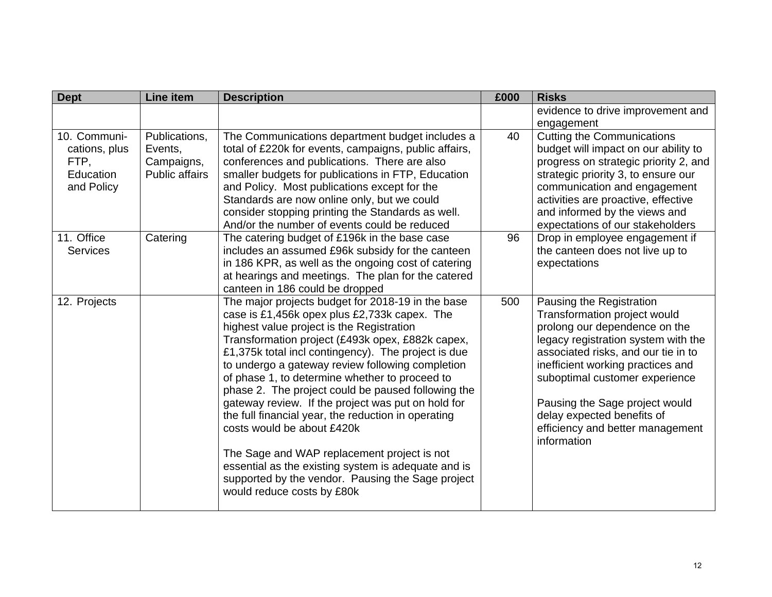| <b>Dept</b>                                                                                       | <b>Line item</b>                                                            | <b>Description</b>                                                                                                                                                                                                                                                                                                                                                                                                                                                                                                                                                                                                                                                                                                                                                                           | £000     | <b>Risks</b>                                                                                                                                                                                                                                                                                                                                                                               |
|---------------------------------------------------------------------------------------------------|-----------------------------------------------------------------------------|----------------------------------------------------------------------------------------------------------------------------------------------------------------------------------------------------------------------------------------------------------------------------------------------------------------------------------------------------------------------------------------------------------------------------------------------------------------------------------------------------------------------------------------------------------------------------------------------------------------------------------------------------------------------------------------------------------------------------------------------------------------------------------------------|----------|--------------------------------------------------------------------------------------------------------------------------------------------------------------------------------------------------------------------------------------------------------------------------------------------------------------------------------------------------------------------------------------------|
|                                                                                                   |                                                                             |                                                                                                                                                                                                                                                                                                                                                                                                                                                                                                                                                                                                                                                                                                                                                                                              |          | evidence to drive improvement and<br>engagement                                                                                                                                                                                                                                                                                                                                            |
| 10. Communi-<br>cations, plus<br>FTP,<br>Education<br>and Policy<br>11. Office<br><b>Services</b> | Publications,<br>Events,<br>Campaigns,<br><b>Public affairs</b><br>Catering | The Communications department budget includes a<br>total of £220k for events, campaigns, public affairs,<br>conferences and publications. There are also<br>smaller budgets for publications in FTP, Education<br>and Policy. Most publications except for the<br>Standards are now online only, but we could<br>consider stopping printing the Standards as well.<br>And/or the number of events could be reduced<br>The catering budget of £196k in the base case<br>includes an assumed £96k subsidy for the canteen<br>in 186 KPR, as well as the ongoing cost of catering<br>at hearings and meetings. The plan for the catered                                                                                                                                                         | 40<br>96 | <b>Cutting the Communications</b><br>budget will impact on our ability to<br>progress on strategic priority 2, and<br>strategic priority 3, to ensure our<br>communication and engagement<br>activities are proactive, effective<br>and informed by the views and<br>expectations of our stakeholders<br>Drop in employee engagement if<br>the canteen does not live up to<br>expectations |
| 12. Projects                                                                                      |                                                                             | canteen in 186 could be dropped<br>The major projects budget for 2018-19 in the base<br>case is £1,456k opex plus £2,733k capex. The<br>highest value project is the Registration<br>Transformation project (£493k opex, £882k capex,<br>£1,375k total incl contingency). The project is due<br>to undergo a gateway review following completion<br>of phase 1, to determine whether to proceed to<br>phase 2. The project could be paused following the<br>gateway review. If the project was put on hold for<br>the full financial year, the reduction in operating<br>costs would be about £420k<br>The Sage and WAP replacement project is not<br>essential as the existing system is adequate and is<br>supported by the vendor. Pausing the Sage project<br>would reduce costs by £80k | 500      | Pausing the Registration<br>Transformation project would<br>prolong our dependence on the<br>legacy registration system with the<br>associated risks, and our tie in to<br>inefficient working practices and<br>suboptimal customer experience<br>Pausing the Sage project would<br>delay expected benefits of<br>efficiency and better management<br>information                          |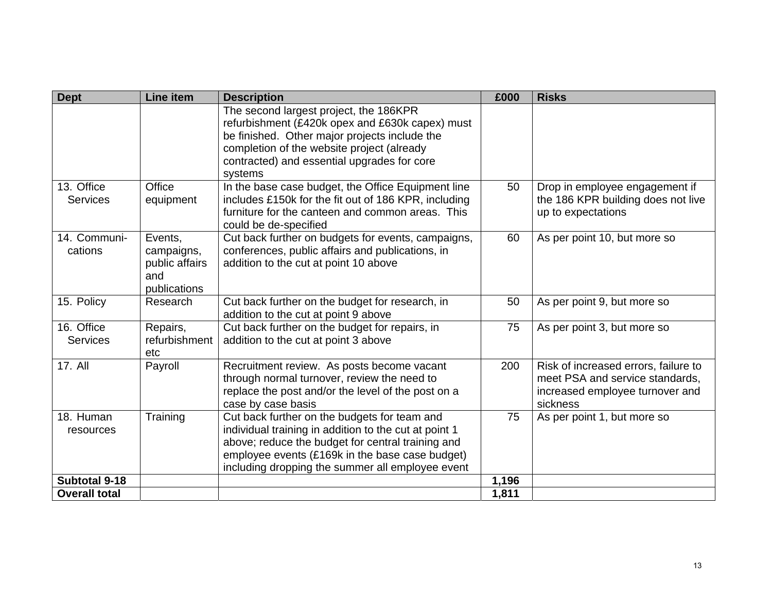| <b>Dept</b>                   | Line item                                                      | <b>Description</b>                                                                                                                                                                                                                                                | £000  | <b>Risks</b>                                                                                                           |
|-------------------------------|----------------------------------------------------------------|-------------------------------------------------------------------------------------------------------------------------------------------------------------------------------------------------------------------------------------------------------------------|-------|------------------------------------------------------------------------------------------------------------------------|
|                               |                                                                | The second largest project, the 186KPR<br>refurbishment (£420k opex and £630k capex) must<br>be finished. Other major projects include the<br>completion of the website project (already<br>contracted) and essential upgrades for core<br>systems                |       |                                                                                                                        |
| 13. Office<br><b>Services</b> | Office<br>equipment                                            | In the base case budget, the Office Equipment line<br>includes £150k for the fit out of 186 KPR, including<br>furniture for the canteen and common areas. This<br>could be de-specified                                                                           | 50    | Drop in employee engagement if<br>the 186 KPR building does not live<br>up to expectations                             |
| 14. Communi-<br>cations       | Events,<br>campaigns,<br>public affairs<br>and<br>publications | Cut back further on budgets for events, campaigns,<br>conferences, public affairs and publications, in<br>addition to the cut at point 10 above                                                                                                                   | 60    | As per point 10, but more so                                                                                           |
| 15. Policy                    | Research                                                       | Cut back further on the budget for research, in<br>addition to the cut at point 9 above                                                                                                                                                                           | 50    | As per point 9, but more so                                                                                            |
| 16. Office<br><b>Services</b> | Repairs,<br>refurbishment<br>etc                               | Cut back further on the budget for repairs, in<br>addition to the cut at point 3 above                                                                                                                                                                            | 75    | As per point 3, but more so                                                                                            |
| 17. All                       | Payroll                                                        | Recruitment review. As posts become vacant<br>through normal turnover, review the need to<br>replace the post and/or the level of the post on a<br>case by case basis                                                                                             | 200   | Risk of increased errors, failure to<br>meet PSA and service standards,<br>increased employee turnover and<br>sickness |
| 18. Human<br>resources        | Training                                                       | Cut back further on the budgets for team and<br>individual training in addition to the cut at point 1<br>above; reduce the budget for central training and<br>employee events (£169k in the base case budget)<br>including dropping the summer all employee event | 75    | As per point 1, but more so                                                                                            |
| Subtotal 9-18                 |                                                                |                                                                                                                                                                                                                                                                   | 1,196 |                                                                                                                        |
| <b>Overall total</b>          |                                                                |                                                                                                                                                                                                                                                                   | 1,811 |                                                                                                                        |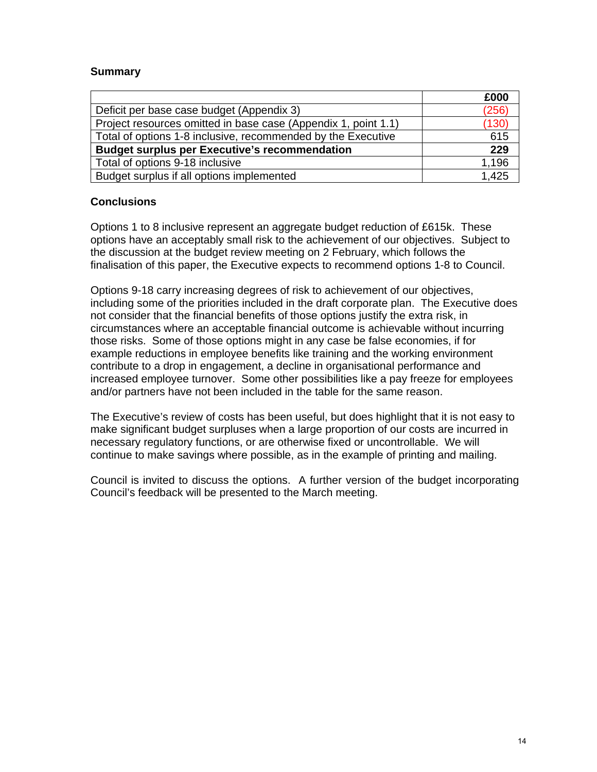#### **Summary**

|                                                                | £000  |
|----------------------------------------------------------------|-------|
| Deficit per base case budget (Appendix 3)                      | (256) |
| Project resources omitted in base case (Appendix 1, point 1.1) | (130) |
| Total of options 1-8 inclusive, recommended by the Executive   | 615   |
| <b>Budget surplus per Executive's recommendation</b>           | 229   |
| Total of options 9-18 inclusive                                | 1,196 |
| Budget surplus if all options implemented                      | 1.425 |

#### **Conclusions**

Options 1 to 8 inclusive represent an aggregate budget reduction of £615k. These options have an acceptably small risk to the achievement of our objectives. Subject to the discussion at the budget review meeting on 2 February, which follows the finalisation of this paper, the Executive expects to recommend options 1-8 to Council.

Options 9-18 carry increasing degrees of risk to achievement of our objectives, including some of the priorities included in the draft corporate plan. The Executive does not consider that the financial benefits of those options justify the extra risk, in circumstances where an acceptable financial outcome is achievable without incurring those risks. Some of those options might in any case be false economies, if for example reductions in employee benefits like training and the working environment contribute to a drop in engagement, a decline in organisational performance and increased employee turnover. Some other possibilities like a pay freeze for employees and/or partners have not been included in the table for the same reason.

The Executive's review of costs has been useful, but does highlight that it is not easy to make significant budget surpluses when a large proportion of our costs are incurred in necessary regulatory functions, or are otherwise fixed or uncontrollable. We will continue to make savings where possible, as in the example of printing and mailing.

Council is invited to discuss the options. A further version of the budget incorporating Council's feedback will be presented to the March meeting.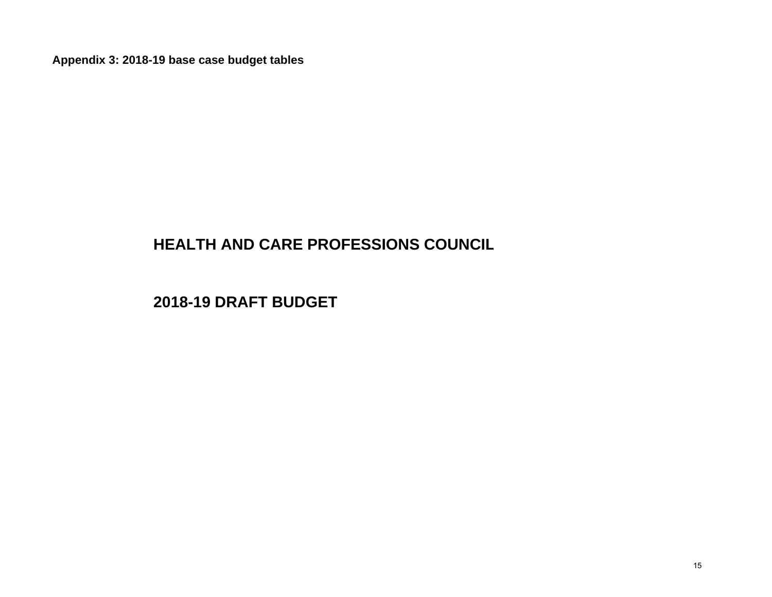**Appendix 3: 2018-19 base case budget tables**

# **HEALTH AND CARE PROFESSIONS COUNCI L**

**2018-19 DRAFT BUDGE T**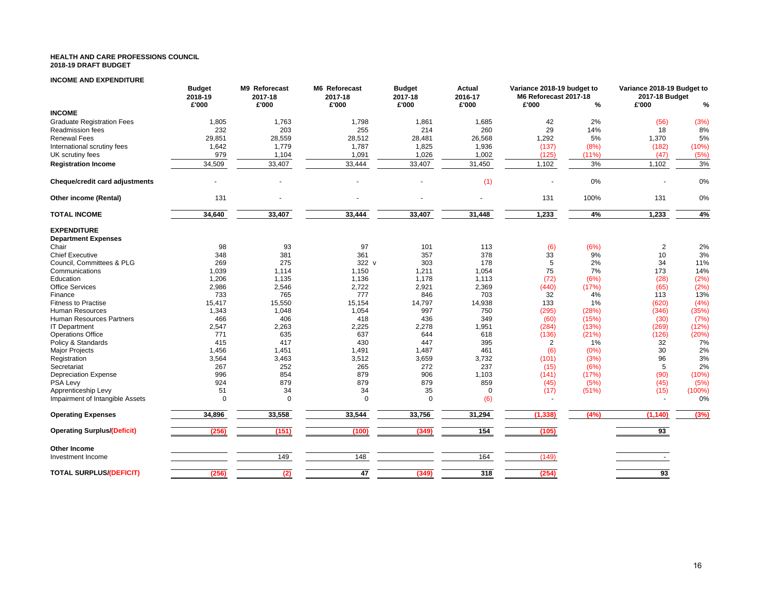#### **HEALTH AND CARE PROFESSIONS COUNCIL2018-19 DRAFT BUDGET**

#### **INCOME AND EXPENDITURE**

|                                    | <b>Budget</b><br>2018-19 | M9 Reforecast<br>2017-18 | M6 Reforecast<br>2017-18 | <b>Budget</b><br>2017-18 | Actual<br>2016-17 | Variance 2018-19 budget to<br>M6 Reforecast 2017-18 |       | Variance 2018-19 Budget to<br>2017-18 Budget |       |
|------------------------------------|--------------------------|--------------------------|--------------------------|--------------------------|-------------------|-----------------------------------------------------|-------|----------------------------------------------|-------|
|                                    | £'000                    | £'000                    | £'000                    | £'000                    | £'000             | £'000                                               | %     | £'000                                        | %     |
| <b>INCOME</b>                      |                          |                          |                          |                          |                   |                                                     |       |                                              |       |
| <b>Graduate Registration Fees</b>  | 1,805                    | 1,763                    | 1,798                    | 1,861                    | 1,685             | 42                                                  | 2%    | (56)                                         | (3%)  |
| Readmission fees                   | 232                      | 203                      | 255                      | 214                      | 260               | 29                                                  | 14%   | 18                                           | 8%    |
| <b>Renewal Fees</b>                | 29,851                   | 28,559                   | 28,512                   | 28,481                   | 26,568            | 1,292                                               | 5%    | 1,370                                        | 5%    |
| International scrutiny fees        | 1,642                    | 1,779                    | 1,787                    | 1,825                    | 1,936             | (137)                                               | (8%)  | (182)                                        | (10%) |
| UK scrutiny fees                   | 979                      | 1,104                    | 1,091                    | 1,026                    | 1,002             | (125)                                               | (11%) | (47)                                         | (5%)  |
| <b>Registration Income</b>         | 34,509                   | 33,407                   | 33,444                   | 33,407                   | 31,450            | 1,102                                               | 3%    | 1,102                                        | 3%    |
| Cheque/credit card adjustments     |                          |                          |                          |                          | (1)               |                                                     | 0%    |                                              | 0%    |
|                                    |                          |                          |                          |                          |                   |                                                     |       |                                              |       |
| Other income (Rental)              | 131                      |                          |                          |                          |                   | 131                                                 | 100%  | 131                                          | 0%    |
| <b>TOTAL INCOME</b>                | 34,640                   | 33,407                   | 33,444                   | 33,407                   | 31,448            | 1,233                                               | 4%    | 1,233                                        | 4%    |
| <b>EXPENDITURE</b>                 |                          |                          |                          |                          |                   |                                                     |       |                                              |       |
| <b>Department Expenses</b>         |                          |                          |                          |                          |                   |                                                     |       |                                              |       |
| Chair                              | 98                       | 93                       | 97                       | 101                      | 113               | (6)                                                 | (6%)  | $\overline{2}$                               | 2%    |
| <b>Chief Executive</b>             | 348                      | 381                      | 361                      | 357                      | 378               | 33                                                  | 9%    | 10                                           | 3%    |
| Council, Committees & PLG          | 269                      | 275                      | 322 v                    | 303                      | 178               | 5                                                   | 2%    | 34                                           | 11%   |
| Communications                     | 1,039                    | 1,114                    | 1,150                    | 1,211                    | 1,054             | 75                                                  | 7%    | 173                                          | 14%   |
| Education                          | 1,206                    | 1,135                    | 1,136                    | 1,178                    | 1,113             | (72)                                                | (6%)  | (28)                                         | (2%)  |
| <b>Office Services</b>             | 2,986                    | 2,546                    | 2,722                    | 2,921                    | 2,369             | (440)                                               | (17%) | (65)                                         | (2%)  |
| Finance                            | 733                      | 765                      | 777                      | 846                      | 703               | 32                                                  | 4%    | 113                                          | 13%   |
| <b>Fitness to Practise</b>         | 15,417                   | 15,550                   | 15,154                   | 14,797                   | 14,938            | 133                                                 | 1%    | (620)                                        | (4% ) |
| Human Resources                    | 1,343                    | 1,048                    | 1,054                    | 997                      | 750               | (295)                                               | (28%) | (346)                                        | (35%) |
| <b>Human Resources Partners</b>    | 466                      | 406                      | 418                      | 436                      | 349               | (60)                                                | (15%) | (30)                                         | (7%)  |
| <b>IT Department</b>               | 2,547                    | 2,263                    | 2,225                    | 2,278                    | 1,951             | (284)                                               | (13%) | (269)                                        | (12%) |
| <b>Operations Office</b>           | 771                      | 635                      | 637                      | 644                      | 618               | (136)                                               | (21%) | (126)                                        | (20%) |
| Policy & Standards                 | 415                      | 417                      | 430                      | 447                      | 395               | 2                                                   | 1%    | 32                                           | 7%    |
| Major Projects                     | 1,456                    | 1,451                    | 1,491                    | 1,487                    | 461               | (6)                                                 | (0%   | 30                                           | 2%    |
| Registration                       | 3,564                    | 3,463                    | 3,512                    | 3,659                    | 3,732             | (101)                                               | (3%)  | 96                                           | 3%    |
| Secretariat                        | 267                      | 252                      | 265                      | 272                      | 237               | (15)                                                | (6%)  | 5                                            | 2%    |
| <b>Depreciation Expense</b>        | 996                      | 854                      | 879                      | 906                      | 1,103             | (141)                                               | (17%) | (90)                                         | (10%) |
| PSA Levy                           | 924                      | 879                      | 879                      | 879                      | 859               | (45)                                                | (5%)  | (45)                                         | (5%)  |
| Apprenticeship Levy                | 51                       | 34                       | 34                       | 35                       | $\mathbf 0$       | (17)                                                | (51%) | (15)                                         | (100% |
| Impairment of Intangible Assets    | $\Omega$                 | $\mathbf 0$              | $\Omega$                 | $\Omega$                 | (6)               |                                                     |       |                                              | 0%    |
| <b>Operating Expenses</b>          | 34,896                   | 33,558                   | 33,544                   | 33,756                   | 31,294            | (1, 338)                                            | (4% ) | (1, 140)                                     | (3%)  |
| <b>Operating Surplus/(Deficit)</b> | (256)                    | (151)                    | (100)                    | (349)                    | 154               | (105)                                               |       | 93                                           |       |
| Other Income                       |                          |                          |                          |                          |                   |                                                     |       |                                              |       |
| Investment Income                  |                          | 149                      | 148                      |                          | 164               | (149)                                               |       | $\sim$                                       |       |
| <b>TOTAL SURPLUS/(DEFICIT)</b>     | (256)                    | (2)                      | 47                       | (349)                    | 318               | (254)                                               |       | 93                                           |       |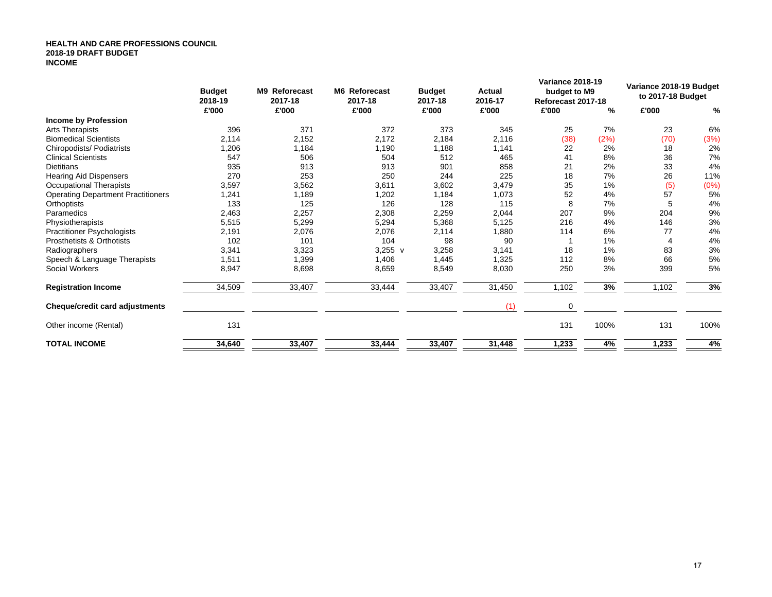#### **HEALTH AND CARE PROFESSIONS COUNCIL2018-19 DRAFT BUDGET INCOME**

|                                           | <b>Budget</b><br>2018-19 | <b>M9</b> Reforecast<br>2017-18 | M6 Reforecast<br>2017-18 | <b>Budget</b><br>2017-18 | Actual<br>2016-17 | <b>Variance 2018-19</b><br>budget to M9<br>Reforecast 2017-18 |      | Variance 2018-19 Budget<br>to 2017-18 Budget |      |
|-------------------------------------------|--------------------------|---------------------------------|--------------------------|--------------------------|-------------------|---------------------------------------------------------------|------|----------------------------------------------|------|
|                                           | £'000                    | £'000                           | £'000                    | £'000                    | £'000             | £'000                                                         | %    | £'000                                        | %    |
| <b>Income by Profession</b>               |                          |                                 |                          |                          |                   |                                                               |      |                                              |      |
| <b>Arts Therapists</b>                    | 396                      | 371                             | 372                      | 373                      | 345               | 25                                                            | 7%   | 23                                           | 6%   |
| <b>Biomedical Scientists</b>              | 2,114                    | 2,152                           | 2,172                    | 2,184                    | 2,116             | (38)                                                          | (2%) | (70)                                         | (3%) |
| Chiropodists/ Podiatrists                 | 1,206                    | 1,184                           | 1,190                    | 1,188                    | 1,141             | 22                                                            | 2%   | 18                                           | 2%   |
| <b>Clinical Scientists</b>                | 547                      | 506                             | 504                      | 512                      | 465               | 41                                                            | 8%   | 36                                           | 7%   |
| <b>Dietitians</b>                         | 935                      | 913                             | 913                      | 901                      | 858               | 21                                                            | 2%   | 33                                           | 4%   |
| <b>Hearing Aid Dispensers</b>             | 270                      | 253                             | 250                      | 244                      | 225               | 18                                                            | 7%   | 26                                           | 11%  |
| <b>Occupational Therapists</b>            | 3,597                    | 3,562                           | 3,611                    | 3,602                    | 3,479             | 35                                                            | 1%   | (5)                                          | (0%) |
| <b>Operating Department Practitioners</b> | 1,241                    | 1,189                           | 1,202                    | 1,184                    | 1,073             | 52                                                            | 4%   | 57                                           | 5%   |
| Orthoptists                               | 133                      | 125                             | 126                      | 128                      | 115               | 8                                                             | 7%   | 5                                            | 4%   |
| Paramedics                                | 2,463                    | 2,257                           | 2,308                    | 2,259                    | 2,044             | 207                                                           | 9%   | 204                                          | 9%   |
| Physiotherapists                          | 5,515                    | 5,299                           | 5,294                    | 5,368                    | 5,125             | 216                                                           | 4%   | 146                                          | 3%   |
| <b>Practitioner Psychologists</b>         | 2,191                    | 2,076                           | 2,076                    | 2,114                    | 1,880             | 114                                                           | 6%   | 77                                           | 4%   |
| Prosthetists & Orthotists                 | 102                      | 101                             | 104                      | 98                       | 90                |                                                               | 1%   |                                              | 4%   |
| Radiographers                             | 3,341                    | 3,323                           | $3,255 \text{ v}$        | 3,258                    | 3,141             | 18                                                            | 1%   | 83                                           | 3%   |
| Speech & Language Therapists              | 1,511                    | 1,399                           | 1,406                    | 1,445                    | 1,325             | 112                                                           | 8%   | 66                                           | 5%   |
| Social Workers                            | 8,947                    | 8,698                           | 8,659                    | 8,549                    | 8,030             | 250                                                           | 3%   | 399                                          | 5%   |
| <b>Registration Income</b>                | 34,509                   | 33,407                          | 33,444                   | 33,407                   | 31,450            | 1,102                                                         | 3%   | 1,102                                        | 3%   |
| Cheque/credit card adjustments            |                          |                                 |                          |                          | (1)               | 0                                                             |      |                                              |      |
| Other income (Rental)                     | 131                      |                                 |                          |                          |                   | 131                                                           | 100% | 131                                          | 100% |
| <b>TOTAL INCOME</b>                       | 34,640                   | 33,407                          | 33,444                   | 33,407                   | 31,448            | 1,233                                                         | 4%   | 1,233                                        | 4%   |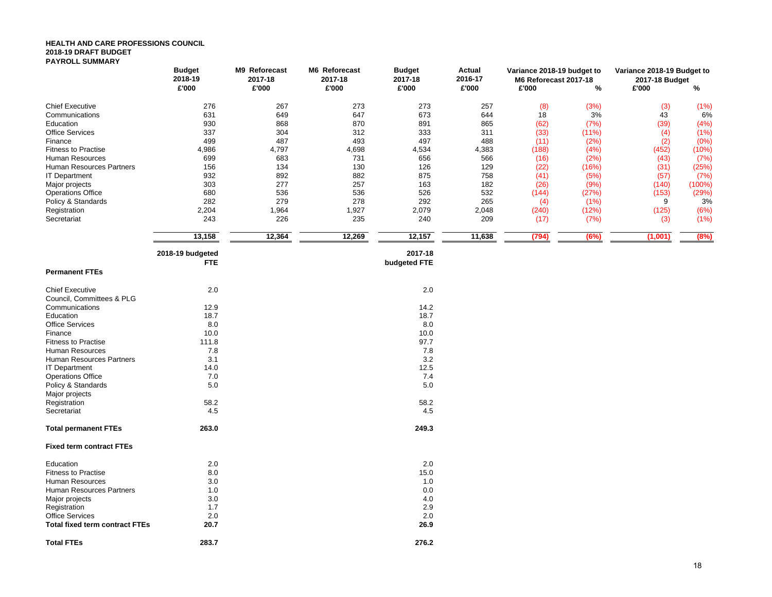#### **HEALTH AND CARE PROFESSIONS COUNCIL 2018-19 DRAFT BUDGET PAYROLL SUMMARY**

|                                 | M9 Reforecast<br><b>Budget</b> |         | M6 Reforecast | <b>Budget</b> | <b>Actual</b> | Variance 2018-19 budget to | Variance 2018-19 Budget to |                |        |  |  |  |  |
|---------------------------------|--------------------------------|---------|---------------|---------------|---------------|----------------------------|----------------------------|----------------|--------|--|--|--|--|
|                                 | 2018-19                        | 2017-18 | 2017-18       | 2017-18       | 2016-17       | M6 Reforecast 2017-18      |                            | 2017-18 Budget |        |  |  |  |  |
|                                 | £'000                          | £'000   | £'000         | £'000         | £'000         | £'000                      | %                          | £'000          | %      |  |  |  |  |
| <b>Chief Executive</b>          | 276                            | 267     | 273           | 273           | 257           | (8)                        | (3%)                       | (3)            | (1%)   |  |  |  |  |
| Communications                  | 631                            | 649     | 647           | 673           | 644           | 18                         | 3%                         | 43             | 6%     |  |  |  |  |
| Education                       | 930                            | 868     | 870           | 891           | 865           | (62)                       | (7%)                       | (39)           | (4%)   |  |  |  |  |
| <b>Office Services</b>          | 337                            | 304     | 312           | 333           | 311           | (33)                       | (11%)                      | (4)            | (1%)   |  |  |  |  |
| Finance                         | 499                            | 487     | 493           | 497           | 488           | (11)                       | (2%)                       | (2)            | (0% )  |  |  |  |  |
| <b>Fitness to Practise</b>      | 4,986                          | 4,797   | 4,698         | 4,534         | 4,383         | (188)                      | (4% )                      | (452)          | (10%)  |  |  |  |  |
| <b>Human Resources</b>          | 699                            | 683     | 731           | 656           | 566           | (16)                       | (2%)                       | (43)           | (7%)   |  |  |  |  |
| Human Resources Partners        | 156                            | 134     | 130           | 126           | 129           | (22)                       | (16%)                      | (31)           | (25%)  |  |  |  |  |
| <b>IT Department</b>            | 932                            | 892     | 882           | 875           | 758           | (41)                       | (5%)                       | (57)           | (7%)   |  |  |  |  |
| Major projects                  | 303                            | 277     | 257           | 163           | 182           | (26)                       | (9% )                      | (140)          | (100%) |  |  |  |  |
| <b>Operations Office</b>        | 680                            | 536     | 536           | 526           | 532           | (144)                      | (27%)                      | (153)          | (29%)  |  |  |  |  |
| Policy & Standards              | 282                            | 279     | 278           | 292           | 265           | (4)                        | (1%)                       | 9              | 3%     |  |  |  |  |
| Registration                    | 2,204                          | 1,964   | 1,927         | 2,079         | 2,048         | (240)                      | (12%)                      | (125)          | (6%)   |  |  |  |  |
| Secretariat                     | 243                            | 226     | 235           | 240           | 209           | (17)                       | (7%)                       | (3)            | (1%)   |  |  |  |  |
|                                 |                                |         |               |               |               |                            |                            |                |        |  |  |  |  |
|                                 | 13,158                         | 12,364  | 12,269        | 12,157        | 11,638        | (794)                      | (6%)                       | (1,001)        | (8%)   |  |  |  |  |
|                                 | 2018-19 budgeted               |         |               | 2017-18       |               |                            |                            |                |        |  |  |  |  |
|                                 | <b>FTE</b>                     |         |               | budgeted FTE  |               |                            |                            |                |        |  |  |  |  |
| <b>Permanent FTEs</b>           |                                |         |               |               |               |                            |                            |                |        |  |  |  |  |
| <b>Chief Executive</b>          | 2.0                            |         |               | 2.0           |               |                            |                            |                |        |  |  |  |  |
| Council, Committees & PLG       |                                |         |               |               |               |                            |                            |                |        |  |  |  |  |
| Communications                  | 12.9                           |         |               | 14.2          |               |                            |                            |                |        |  |  |  |  |
| Education                       | 18.7                           |         |               | 18.7          |               |                            |                            |                |        |  |  |  |  |
| <b>Office Services</b>          | 8.0                            |         |               | 8.0           |               |                            |                            |                |        |  |  |  |  |
| Finance                         | 10.0                           |         |               | 10.0          |               |                            |                            |                |        |  |  |  |  |
| <b>Fitness to Practise</b>      | 111.8                          |         |               | 97.7          |               |                            |                            |                |        |  |  |  |  |
| Human Resources                 | 7.8                            |         |               | 7.8           |               |                            |                            |                |        |  |  |  |  |
| Human Resources Partners        | 3.1                            |         |               | 3.2           |               |                            |                            |                |        |  |  |  |  |
| <b>IT Department</b>            | 14.0                           |         |               | 12.5          |               |                            |                            |                |        |  |  |  |  |
| <b>Operations Office</b>        | 7.0                            |         |               | 7.4           |               |                            |                            |                |        |  |  |  |  |
| Policy & Standards              | 5.0                            |         |               | 5.0           |               |                            |                            |                |        |  |  |  |  |
| Major projects                  |                                |         |               |               |               |                            |                            |                |        |  |  |  |  |
| Registration                    | 58.2                           |         |               | 58.2          |               |                            |                            |                |        |  |  |  |  |
| Secretariat                     | 4.5                            |         |               | 4.5           |               |                            |                            |                |        |  |  |  |  |
| <b>Total permanent FTEs</b>     | 263.0                          |         |               | 249.3         |               |                            |                            |                |        |  |  |  |  |
| <b>Fixed term contract FTEs</b> |                                |         |               |               |               |                            |                            |                |        |  |  |  |  |
| <b>Education</b>                | 20                             |         |               | 20            |               |                            |                            |                |        |  |  |  |  |

| Education                             | 2.0   | 2.0   |
|---------------------------------------|-------|-------|
| <b>Fitness to Practise</b>            | 8.0   | 15.0  |
| <b>Human Resources</b>                | 3.0   | 1.0   |
| <b>Human Resources Partners</b>       | 1.0   | 0.0   |
| Major projects                        | 3.0   | 4.0   |
| Registration                          | 1.7   | 2.9   |
| <b>Office Services</b>                | 2.0   | 2.0   |
| <b>Total fixed term contract FTEs</b> | 20.7  | 26.9  |
| <b>Total FTEs</b>                     | 283.7 | 276.2 |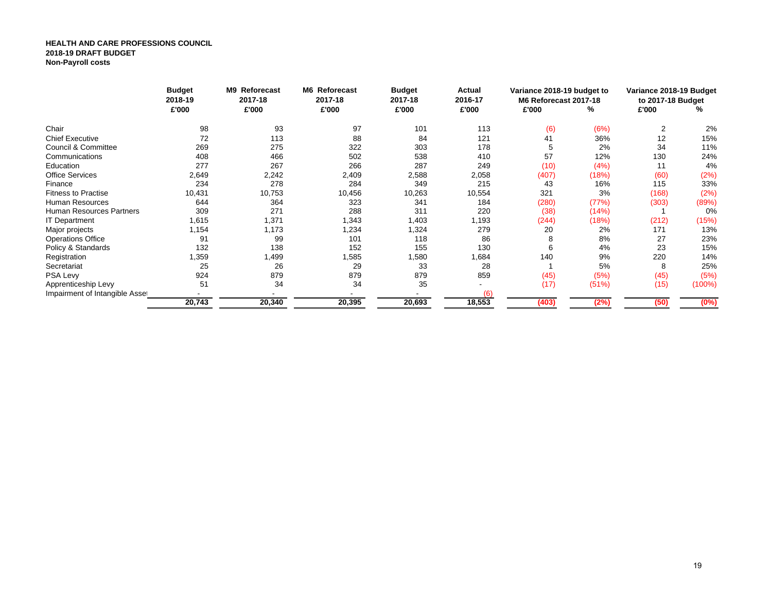#### **HEALTH AND CARE PROFESSIONS COUNCIL 2018-19 DRAFT BUDGETNon-Payroll costs**

|                                 | <b>Budget</b><br>2018-19   | M9 Reforecast<br>2017-18 | M6 Reforecast<br>2017-18 | <b>Budget</b><br>2017-18 | Actual<br>2016-17 | Variance 2018-19 budget to<br>M6 Reforecast 2017-18 |              | Variance 2018-19 Budget<br>to 2017-18 Budget |           |
|---------------------------------|----------------------------|--------------------------|--------------------------|--------------------------|-------------------|-----------------------------------------------------|--------------|----------------------------------------------|-----------|
|                                 | £'000                      | £'000                    | £'000                    | £'000                    | £'000             | £'000                                               | %            | £'000                                        | %         |
| Chair                           | 98                         | 93                       | 97                       | 101                      | 113               | (6)                                                 | (6%)         | $\overline{2}$                               | 2%        |
| <b>Chief Executive</b>          | 72                         | 113                      | 88                       | 84                       | 121               | 41                                                  | 36%          | 12                                           | 15%       |
| Council & Committee             | 269                        | 275                      | 322                      | 303                      | 178               | 5                                                   | 2%           | 34                                           | 11%       |
| Communications                  | 408                        | 466                      | 502                      | 538                      | 410               | 57                                                  | 12%          | 130                                          | 24%       |
| Education                       | 277                        | 267                      | 266                      | 287                      | 249               | (10)                                                | (4%)         | 11                                           | 4%        |
| <b>Office Services</b>          | 2,649                      | 2,242                    | 2,409                    | 2,588                    | 2,058             | (407)                                               | (18%)        | (60)                                         | (2%)      |
| Finance                         | 234                        | 278                      | 284                      | 349                      | 215               | 43                                                  | 16%          | 115                                          | 33%       |
| <b>Fitness to Practise</b>      | 10,431                     | 10,753                   | 10,456                   | 10,263                   | 10,554            | 321                                                 | 3%           | (168)                                        | (2%)      |
| <b>Human Resources</b>          | 644                        | 364                      | 323                      | 341                      | 184               | (280)                                               | (77%)        | (303)                                        | (89%)     |
| <b>Human Resources Partners</b> | 309                        | 271                      | 288                      | 311                      | 220               | (38)                                                | (14%)        |                                              | 0%        |
| <b>IT Department</b>            | 1,615                      | 1,371                    | 1,343                    | 1,403                    | 1,193             | (244)                                               | (18%)        | (212)                                        | (15%)     |
| Major projects                  | 1,154                      | 1,173                    | 1,234                    | 1,324                    | 279               | 20                                                  | 2%           | 171                                          | 13%       |
| <b>Operations Office</b>        | 91                         | 99                       | 101                      | 118                      | 86                | 8                                                   | 8%           | 27                                           | 23%       |
| Policy & Standards              | 132                        | 138                      | 152                      | 155                      | 130               | 6                                                   | 4%           | 23                                           | 15%       |
| Registration                    | 1,359                      | 1,499                    | 1,585                    | 1,580                    | 1,684             | 140                                                 | 9%           | 220                                          | 14%       |
| Secretariat                     | 25                         | 26                       | 29                       | 33                       | 28                |                                                     | 5%           | 8                                            | 25%       |
| PSA Levy                        | 924                        | 879                      | 879                      | 879                      | 859               | (45)                                                | (5%)         | (45)                                         | (5%)      |
| Apprenticeship Levy             | 51                         | 34                       | 34                       | 35                       |                   | (17)                                                | (51%)        | (15)                                         | $(100\%)$ |
| Impairment of Intangible Asset  |                            |                          |                          |                          | (6)               |                                                     |              |                                              |           |
|                                 | 20,395<br>20,743<br>20,340 |                          | 20,693                   | 18,553                   | (403)             | (2%)                                                | (50)<br>(0%) |                                              |           |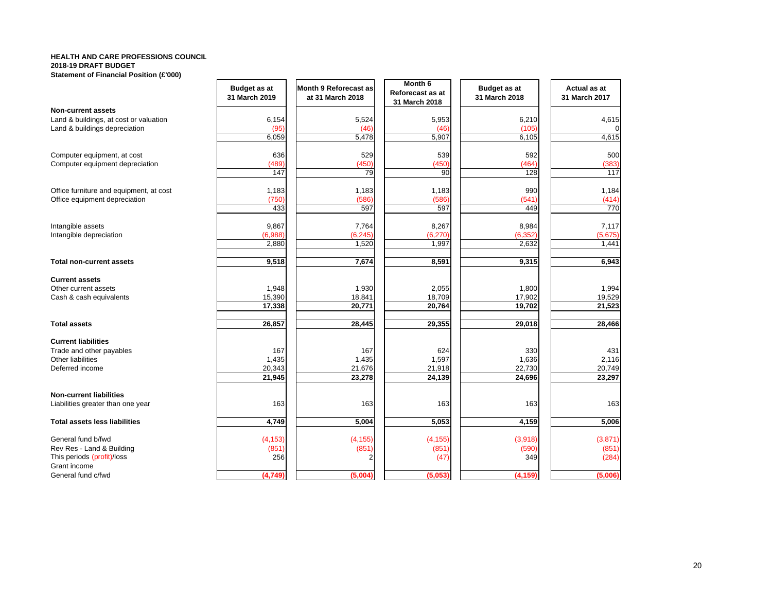#### **HEALTH AND CARE PROFESSIONS COUNCIL2018-19 DRAFT BUDGET**

| Statement of Financial Position (£'000) |  |
|-----------------------------------------|--|
|-----------------------------------------|--|

|                                         | <b>Budget as at</b><br>31 March 2019 | Month 9 Reforecast as<br>at 31 March 2018 | Month 6<br>Reforecast as at<br>31 March 2018 | <b>Budget as at</b><br>31 March 2018 | Actual as at<br>31 March 2017 |
|-----------------------------------------|--------------------------------------|-------------------------------------------|----------------------------------------------|--------------------------------------|-------------------------------|
| <b>Non-current assets</b>               |                                      |                                           |                                              |                                      |                               |
| Land & buildings, at cost or valuation  | 6,154                                | 5,524                                     | 5,953                                        | 6,210                                | 4,615                         |
| Land & buildings depreciation           | (95)                                 | (46)                                      | (46)                                         | (105)                                |                               |
|                                         | 6,059                                | 5,478                                     | 5,907                                        | 6,105                                | 4,615                         |
| Computer equipment, at cost             | 636                                  | 529                                       | 539                                          | 592                                  | 500                           |
| Computer equipment depreciation         | (489)                                | (450)                                     | (450)                                        | (464)                                | (383)                         |
|                                         | 147                                  | 79                                        | 90                                           | 128                                  | 117                           |
| Office furniture and equipment, at cost | 1,183                                | 1,183                                     | 1,183                                        | 990                                  | 1,184                         |
| Office equipment depreciation           | (750)                                | (586)                                     | (586)                                        | (541)                                | (414)                         |
|                                         | 433                                  | 597                                       | 597                                          | 449                                  | 770                           |
| Intangible assets                       | 9,867                                | 7,764                                     | 8,267                                        | 8,984                                | 7,117                         |
| Intangible depreciation                 | (6,988)                              | (6, 245)                                  | (6, 270)                                     | (6, 352)                             | (5,675)                       |
|                                         | 2,880                                | 1,520                                     | 1,997                                        | 2,632                                | 1,441                         |
| <b>Total non-current assets</b>         | 9,518                                | 7,674                                     | 8,591                                        | 9,315                                | 6,943                         |
| <b>Current assets</b>                   |                                      |                                           |                                              |                                      |                               |
| Other current assets                    | 1,948                                | 1,930                                     | 2,055                                        | 1,800                                | 1,994                         |
| Cash & cash equivalents                 | 15,390                               | 18,841                                    | 18,709                                       | 17,902                               | 19,529                        |
|                                         | 17,338                               | 20,771                                    | 20,764                                       | 19,702                               | 21,523                        |
| <b>Total assets</b>                     | 26,857                               | 28,445                                    | 29,355                                       | 29,018                               | 28,466                        |
| <b>Current liabilities</b>              |                                      |                                           |                                              |                                      |                               |
| Trade and other payables                | 167                                  | 167                                       | 624                                          | 330                                  | 431                           |
| Other liabilities                       | 1,435                                | 1,435                                     | 1,597                                        | 1,636                                | 2,116                         |
| Deferred income                         | 20,343                               | 21,676                                    | 21,918                                       | 22,730                               | 20,749                        |
|                                         | 21,945                               | 23,278                                    | 24,139                                       | 24,696                               | 23,297                        |
| <b>Non-current liabilities</b>          |                                      |                                           |                                              |                                      |                               |
| Liabilities greater than one year       | 163                                  | 163                                       | 163                                          | 163                                  | 163                           |
| <b>Total assets less liabilities</b>    | 4,749                                | 5,004                                     | 5,053                                        | 4,159                                | 5,006                         |
| General fund b/fwd                      | (4, 153)                             | (4, 155)                                  | (4, 155)                                     | (3,918)                              | (3,871)                       |
| Rev Res - Land & Building               | (851)                                | (851)                                     | (851)                                        | (590)                                | (851)                         |
| This periods (profit)/loss              | 256                                  | 2                                         | (47)                                         | 349                                  | (284)                         |
| Grant income<br>General fund c/fwd      | (4, 749)                             | (5,004)                                   | (5,053)                                      | (4, 159)                             | (5,006)                       |
|                                         |                                      |                                           |                                              |                                      |                               |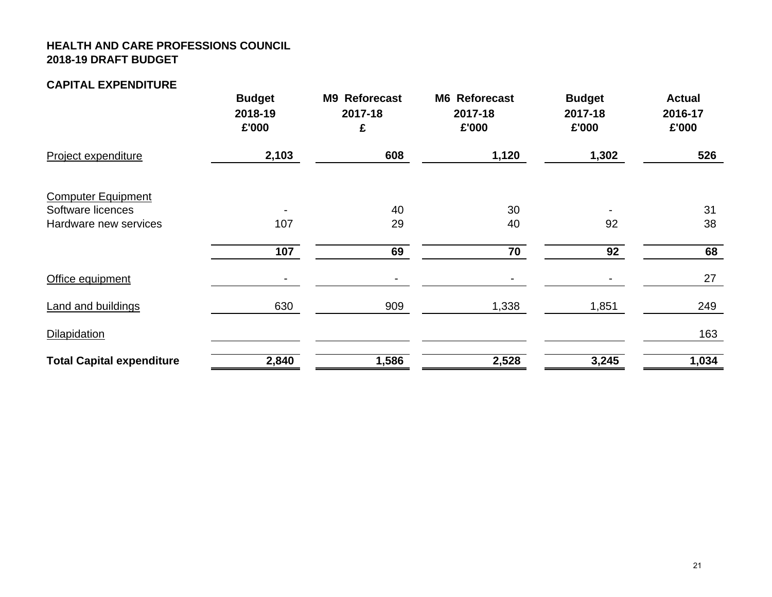## **HEALTH AND CARE PROFESSIONS COUNCIL 2018-19 DRAFT BUDGET**

#### **CAPITAL EXPENDITURE**

|                                            | <b>Budget</b><br>2018-19<br>£'000 | <b>Reforecast</b><br><b>M9</b><br>2017-18<br>£ | <b>M6 Reforecast</b><br>2017-18<br>£'000 | <b>Budget</b><br>2017-18<br>£'000 | <b>Actual</b><br>2016-17<br>£'000 |
|--------------------------------------------|-----------------------------------|------------------------------------------------|------------------------------------------|-----------------------------------|-----------------------------------|
| Project expenditure                        | 2,103                             | 608                                            | 1,120                                    | 1,302                             | 526                               |
| <b>Computer Equipment</b>                  |                                   |                                                |                                          |                                   |                                   |
| Software licences<br>Hardware new services | ۰<br>107                          | 40<br>29                                       | 30<br>40                                 | 92                                | 31<br>38                          |
|                                            | 107                               | 69                                             | 70                                       | 92                                | 68                                |
| Office equipment                           | ۰                                 |                                                |                                          |                                   | 27                                |
| <b>Land and buildings</b>                  | 630                               | 909                                            | 1,338                                    | 1,851                             | 249                               |
| Dilapidation                               |                                   |                                                |                                          |                                   | 163                               |
| <b>Total Capital expenditure</b>           | 2,840                             | 1,586                                          | 2,528                                    | 3,245                             | 1,034                             |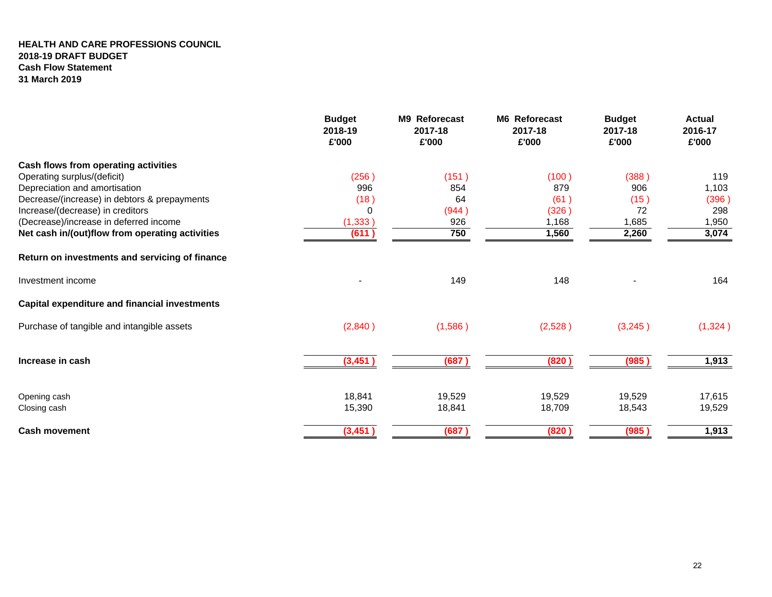#### **HEALTH AND CARE PROFESSIONS COUNCIL 2018-19 DRAFT BUDGET Cash Flow Statement 31 March 2019**

|                                                      | <b>Budget</b><br>2018-19<br>£'000 | <b>M9 Reforecast</b><br>2017-18<br>£'000 | M6 Reforecast<br>2017-18<br>£'000 | <b>Budget</b><br>2017-18<br>£'000 | <b>Actual</b><br>2016-17<br>£'000 |
|------------------------------------------------------|-----------------------------------|------------------------------------------|-----------------------------------|-----------------------------------|-----------------------------------|
| Cash flows from operating activities                 |                                   |                                          |                                   |                                   |                                   |
| Operating surplus/(deficit)                          | (256)                             | (151)                                    | (100)                             | (388)                             | 119                               |
| Depreciation and amortisation                        | 996                               | 854                                      | 879                               | 906                               | 1,103                             |
| Decrease/(increase) in debtors & prepayments         | (18)                              | 64                                       | (61)                              | (15)                              | (396)                             |
| Increase/(decrease) in creditors                     | 0                                 | (944)                                    | (326)                             | 72                                | 298                               |
| (Decrease)/increase in deferred income               | (1, 333)                          | 926                                      | 1,168                             | 1,685                             | 1,950                             |
| Net cash in/(out)flow from operating activities      | (611)                             | 750                                      | 1,560                             | 2,260                             | 3,074                             |
| Return on investments and servicing of finance       |                                   |                                          |                                   |                                   |                                   |
| Investment income                                    |                                   | 149                                      | 148                               |                                   | 164                               |
| <b>Capital expenditure and financial investments</b> |                                   |                                          |                                   |                                   |                                   |
| Purchase of tangible and intangible assets           | (2,840)                           | (1,586)                                  | (2,528)                           | (3,245)                           | (1,324)                           |
| Increase in cash                                     | (3, 451)                          | (687)                                    | (820)                             | (985)                             | 1,913                             |
|                                                      |                                   |                                          |                                   |                                   |                                   |
| Opening cash                                         | 18,841                            | 19,529                                   | 19,529                            | 19,529                            | 17,615                            |
| Closing cash                                         | 15,390                            | 18,841                                   | 18,709                            | 18,543                            | 19,529                            |
| <b>Cash movement</b>                                 | (3, 451)                          | (687)                                    | (820)                             | (985)                             | 1,913                             |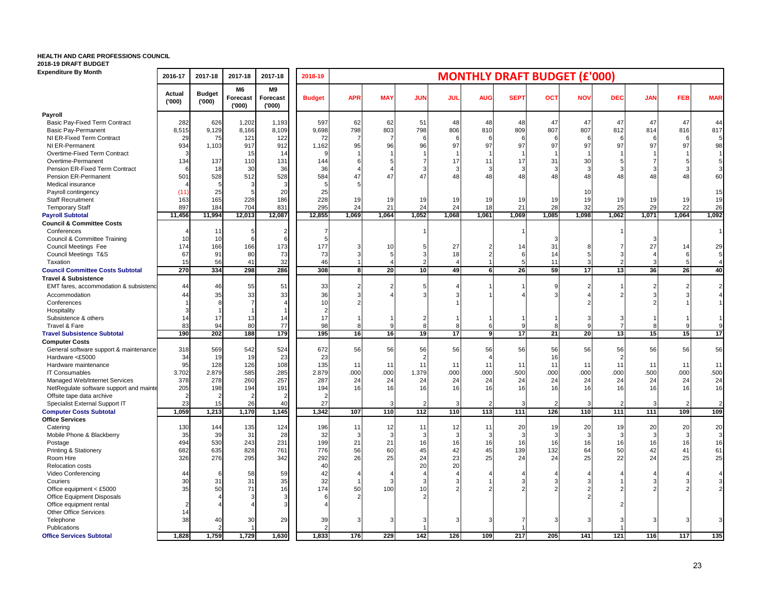#### **HEALTH AND CARE PROFESSIONS COUNCIL**

**2018-19 DRAFT BUDGET**

| <b>Expenditure By Month</b>                            | 2016-17         | 2017-18                | 2017-18                 | 2017-18                        | 2018-19        | <b>MONTHLY DRAFT BUDGET (£'000)</b> |                |                |                       |            |             |            |                |                |            |       |                |
|--------------------------------------------------------|-----------------|------------------------|-------------------------|--------------------------------|----------------|-------------------------------------|----------------|----------------|-----------------------|------------|-------------|------------|----------------|----------------|------------|-------|----------------|
|                                                        | Actual<br>(000) | <b>Budget</b><br>(000) | M6<br>Forecast<br>(000) | M9<br><b>Forecast</b><br>(000) | <b>Budget</b>  | <b>APR</b>                          | <b>MAY</b>     | <b>JUN</b>     | <b>JUL</b>            | <b>AUG</b> | <b>SEPT</b> | <b>OCT</b> | <b>NOV</b>     | <b>DEC</b>     | <b>JAN</b> | FEB   | <b>MAR</b>     |
| Payroll                                                |                 |                        |                         |                                |                |                                     |                |                |                       |            |             |            |                |                |            |       |                |
| Basic Pay-Fixed Term Contract                          | 282             | 626                    | 1,202                   | 1,193                          | 597            | 62                                  | 62             | 51             | 48                    | 48         | 48          | 47         | 47             | 47             | 47         | 47    | 44             |
| <b>Basic Pay-Permanent</b>                             | 8,515           | 9,129                  | 8,166                   | 8,109                          | 9,698          | 798                                 | 803            | 798            | 806                   | 810        | 809         | 807        | 807            | 812            | 814        | 816   | 817            |
| NI ER-Fixed Term Contract                              | 29              | 75                     | 121                     | 122                            | 72             |                                     | $\overline{7}$ | 6              | -6                    |            | 6           |            | 6              | 6              | 6          | 6     |                |
| NI ER-Permanent                                        | 934             | 1,103                  | 917                     | 912                            | 1,162          | 95                                  | 96             | 96             | 97                    | 97         | 97          | 97         | 97             | 97             | 97         | 97    | 98             |
| Overtime-Fixed Term Contract                           | 3               |                        | 15                      | 14                             |                |                                     |                |                |                       |            |             |            |                |                |            |       |                |
| Overtime-Permanent                                     | 134             | 137                    | 110                     | 131                            | 144            |                                     |                | $\overline{7}$ | 17                    | 11         | 17          | 31         | 30             |                |            |       | 5              |
| Pension ER-Fixed Term Contract<br>Pension ER-Permanent |                 | 18                     | 30                      | 36                             | 36             |                                     | 47             | 3<br>47        | 3                     | 2<br>48    | 3<br>48     | 3<br>48    | 3<br>48        | 3              | 48         |       | 3              |
| Medical insurance                                      | 501             | 528                    | 512                     | 528                            | 584            | 47                                  |                |                | 48                    |            |             |            |                | 48             |            | 48    | 60             |
| Payroll contingency                                    | (11)            | 25                     |                         | 20                             | 25             |                                     |                |                |                       |            |             |            | 10             |                |            |       | 15             |
| <b>Staff Recruitment</b>                               | 163             | 165                    | 228                     | 186                            | 228            | 19                                  | 19             | 19             | 19                    | 19         | 19          | 19         | 19             | 19             | 19         | 19    | 19             |
| <b>Temporary Staff</b>                                 | 897             | 184                    | 704                     | 831                            | 295            | 24                                  | 21             | 24             | 24                    | 18         | 21          | 28         | 32             | 25             | 29         | 22    | 26             |
| <b>Payroll Subtotal</b>                                | 11,456          | 11,994                 | 12,013                  | 12,087                         | 12,855         | 1,069                               | 1,064          | 1,052          | 1,068                 | 1,061      | 1,069       | 1,085      | 1,098          | 1,062          | 1,071      | 1,064 | 1,092          |
| <b>Council &amp; Committee Costs</b>                   |                 |                        |                         |                                |                |                                     |                |                |                       |            |             |            |                |                |            |       |                |
| Conferences                                            |                 | 11                     |                         |                                |                |                                     |                |                |                       |            |             |            |                |                |            |       | $\vert$ 1      |
| Council & Committee Training                           | 10              | 10                     |                         |                                |                |                                     |                |                |                       |            |             |            |                |                | З          |       |                |
| Council Meetings Fee                                   | 174             | 166                    | 166                     | 173                            | 177            |                                     | 10             | 5              | 27                    |            | 14          | 31         | 8              | $\overline{7}$ | 27         | 14    | 29             |
| Council Meetings T&S                                   | 67              | 91                     | 80                      | 73                             | 73             |                                     | 5              | 3              | 18                    |            | 6           | 14         | 5              | 3              |            | 6     |                |
| Taxation                                               | 15              | 56                     | 41                      | 32                             | 46             |                                     | $\overline{4}$ | 2              | $\boldsymbol{\Delta}$ |            | 5           | 11         | 3              | $\overline{2}$ | 3          |       | $\overline{4}$ |
| <b>Council Committee Costs Subtotal</b>                | 270             | 334                    | 298                     | 286                            | 308            | 8                                   | 20             | 10             | 49                    | 6          | 26          | 59         | 17             | 13             | 36         | 26    | 40             |
| <b>Travel &amp; Subsistence</b>                        |                 |                        |                         |                                |                |                                     |                |                |                       |            |             |            |                |                |            |       |                |
| EMT fares, accommodation & subsistenc                  | 44              | 46                     | 55                      | 51                             | 33             |                                     | $\overline{2}$ | 5              |                       |            |             | 9          | $\overline{2}$ |                | 2          |       | $\overline{a}$ |
| Accommodation                                          | 44              | 35                     | 33                      | 33                             | 36             |                                     |                |                |                       |            |             |            |                |                |            |       |                |
| Conferences                                            |                 |                        |                         |                                | 10             |                                     |                |                |                       |            |             |            |                |                |            |       |                |
| Hospitality                                            | 3               |                        |                         |                                |                |                                     |                |                |                       |            |             |            |                |                |            |       |                |
| Subsistence & others                                   | 14              | 17                     | 13                      | 14                             | 17             |                                     |                | $\overline{2}$ |                       |            |             |            |                | 3              |            |       | 11             |
| Travel & Fare                                          | 83              | 94                     | 80                      | 77                             | 98             |                                     | 9              | 8              | 8                     | 6          |             | 8          | $\mathbf{Q}$   | $\overline{7}$ | 8          |       | 9              |
| <b>Travel Subsistence Subtotal</b>                     | 190             | 202                    | 188                     | 179                            | 195            | 16                                  | 16             | 19             | $\overline{17}$       | 9          | 17          | 21         | 20             | 13             | 15         | 15    | 17             |
| <b>Computer Costs</b>                                  |                 |                        |                         |                                |                |                                     |                |                |                       |            |             |            |                |                |            |       |                |
| General software support & maintenance                 | 318             | 569                    | 542                     | 524                            | 672            | 56                                  | 56             | 56             | 56                    | 56         | 56          | 56         | 56             | 56             | 56         | 56    | 56             |
| Hardware <£5000                                        | 34              | 19                     | 19                      | 23                             | 23             |                                     |                | $\overline{2}$ |                       |            |             | 16         |                | $\overline{2}$ |            |       |                |
| Hardware maintenance                                   | 95              | 128                    | 126                     | 108                            | 135            | 11                                  | 11             | 11             | 11                    | 11         | 11          | 11         | 11             | 11             | 11         | 11    | 11             |
| <b>IT Consumables</b>                                  | 3.702           | 2.879                  | .585                    | .285                           | 2.879          | .000                                | .000           | 1.379          | .000                  | .000       | .500        | .000       | .000           | .000           | .500       | .000  | .500           |
| Managed Web/Internet Services                          | 378             | 278                    | 260                     | 257                            | 287            | 24                                  | 24             | 24             | 24                    | 24         | 24          | 24         | 24             | 24             | 24         | 24    | 24             |
| NetRegulate software support and mainte                | 205             | 198                    | 194                     | 191                            | 194            | 16                                  | 16             | 16             | 16                    | 16         | 16          | 16         | 16             | 16             | 16         | 16    | 16             |
| Offsite tape data archive                              | $\overline{2}$  |                        |                         |                                | $\overline{2}$ |                                     |                |                |                       |            |             |            |                |                |            |       |                |
| Specialist External Support IT                         | 23              | 15                     | 26                      | 40                             | 27             |                                     | 3              |                |                       |            |             |            |                |                | З          |       | $\overline{2}$ |
| <b>Computer Costs Subtotal</b>                         | 1,059           | 1,213                  | 1,170                   | 1,145                          | 1,342          | 107                                 | 110            | 112            | 110                   | 113        | 111         | 126        | 110            | 111            | 111        | 109   | 109            |
| <b>Office Services</b>                                 |                 |                        |                         |                                |                |                                     |                |                |                       |            |             |            |                |                |            |       |                |
| Catering                                               | 130             | 144                    | 135                     | 124                            | 196            | 11                                  | 12             | 11             | 12                    | 11         | 20          | 19         | 20             | 19             | 20         | 20    | 20             |
| Mobile Phone & Blackberry                              | 35              | 39                     | 31                      | 28                             | 32             |                                     | 3              | 3              | 3                     | 2          | 3           | 3          | 3              | 3              | 3          | 3     | 3              |
| Postage                                                | 494             | 530                    | 243                     | 23'                            | 199            | 21                                  | 21             | 16             | 16                    | 16         | 16          | 16         | 16             | 16             | 16         | 16    | 16             |
| <b>Printing &amp; Stationery</b>                       | 682<br>326      | 635<br>276             | 828<br>295              | 761                            | 776            | 56<br>26                            | 60<br>25       | 45             | 42<br>23              | 45<br>25   | 139         | 132<br>24  | 64<br>25       | 50<br>22       | 42<br>24   | 41    | 61<br>25       |
| Room Hire                                              |                 |                        |                         | 342                            | 292<br>40      |                                     |                | 24             | 20                    |            | 24          |            |                |                |            | 25    |                |
| Relocation costs<br>Video Conferencing                 | 44              |                        | 58                      | 59                             | 42             |                                     |                | 20             |                       |            |             |            |                |                |            |       |                |
| Couriers                                               | 30              | 31                     | 31                      | 35                             | 32             |                                     | 3              | 3              |                       |            |             |            |                |                |            |       | 3              |
| Office equipment < £5000                               | 35              | 50                     | 71                      | 16                             | 174            | 50                                  | 100            | 10             |                       |            |             |            |                |                |            |       |                |
| Office Equipment Disposals                             |                 |                        |                         |                                |                |                                     |                |                |                       |            |             |            |                |                |            |       |                |
| Office equipment rental                                | 2               |                        |                         |                                |                |                                     |                |                |                       |            |             |            |                |                |            |       |                |
| Other Office Services                                  | 14              |                        |                         |                                |                |                                     |                |                |                       |            |             |            |                |                |            |       |                |
| Telephone                                              | 38              | 40                     | 30                      | 29                             | 39             |                                     |                |                |                       |            |             |            |                |                |            |       |                |
| Publications                                           |                 |                        |                         |                                | $\overline{2}$ |                                     |                |                |                       |            |             |            |                |                |            |       |                |
| <b>Office Services Subtotal</b>                        | 1,828           | 1,759                  | 1,729                   | 1,630                          | 1,833          | 176                                 | 229            | 142            | 126                   | 109        | 217         | 205        | 141            | 121            | 116        | 117   | 135            |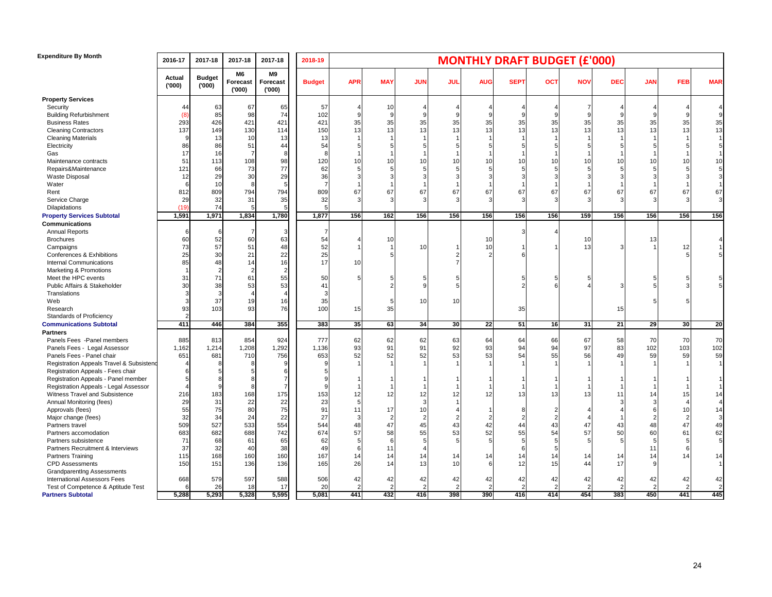| <b>Expenditure By Month</b>              | 2016-17         | 2017-18                | 2017-18                 | 2017-18                 | 2018-19        | <b>MONTHLY DRAFT BUDGET (£'000)</b> |                      |                      |                      |                       |              |            |              |                      |                |                      |                      |
|------------------------------------------|-----------------|------------------------|-------------------------|-------------------------|----------------|-------------------------------------|----------------------|----------------------|----------------------|-----------------------|--------------|------------|--------------|----------------------|----------------|----------------------|----------------------|
|                                          | Actual<br>(000) | <b>Budget</b><br>(000) | M6<br>Forecast<br>(000) | M9<br>Forecast<br>(000) | <b>Budget</b>  | <b>APR</b>                          | <b>MAY</b>           | <b>JUN</b>           | <b>JUL</b>           | <b>AUG</b>            | <b>SEPT</b>  | <b>OCT</b> | <b>NOV</b>   | <b>DEC</b>           | <b>JAN</b>     | <b>FEB</b>           | <b>MAR</b>           |
| <b>Property Services</b>                 |                 |                        |                         |                         |                |                                     |                      |                      |                      |                       |              |            |              |                      |                |                      |                      |
| Security                                 | 44              | 63                     | 67                      | 65                      | 57             |                                     | 10                   | 4                    |                      |                       |              |            | 7            |                      |                |                      |                      |
| <b>Building Refurbishment</b>            | (8)             | 85                     | 98                      | 74                      | 102            |                                     | $\alpha$             | 9                    |                      |                       | $\mathbf{Q}$ |            | $\mathbf{Q}$ |                      | 9              |                      |                      |
| <b>Business Rates</b>                    | 293             | 426                    | 421                     | 421                     | 421            | 35                                  | 35                   | 35                   | 35                   | 35                    | 35           | 35         | 35           | 35                   | 35             | 35                   | $35\,$               |
| <b>Cleaning Contractors</b>              | 137             | 149                    | 130                     | 114                     | 150            | 13                                  | 13                   | 13                   | 13                   | 13                    | 13           | 13         | 13           | 13                   | 13             | 13                   | 13                   |
| <b>Cleaning Materials</b>                | 9               | 13                     | 10                      | 13                      | 13             |                                     |                      |                      |                      |                       |              |            |              |                      |                |                      |                      |
| Electricity                              | 86              | 86                     | 51                      | 44                      | 54             |                                     |                      |                      |                      |                       |              |            |              |                      |                |                      |                      |
| Gas                                      | 17              | 16                     |                         |                         | 8              |                                     |                      |                      |                      |                       |              |            |              |                      |                |                      |                      |
| Maintenance contracts                    | 51              | 113                    | 108                     | 98                      | 120            | 10                                  | 10                   | 10                   | 10                   | 10                    | 10           | 10         | 10           | 10                   | 10             | 10                   | 10                   |
| Repairs&Maintenance                      | 121             | 66                     | 73                      | 77                      | 62             |                                     |                      |                      |                      |                       |              |            |              |                      |                |                      | 5                    |
| Waste Disposal                           | 12              | 29                     | 30                      | 29                      | 36             |                                     |                      | 3                    |                      |                       |              |            |              |                      |                |                      | 3                    |
| Water                                    | 6               | 10                     | Я                       |                         | $\overline{7}$ |                                     |                      | -1                   |                      |                       |              |            |              |                      |                |                      | $\mathbf{1}$         |
| Rent                                     | 812             | 809                    | 794                     | 794                     | 809            | 67                                  | 67                   | 67                   | 67                   | 67                    | 67           | 67         | 67           | 67                   | 67             | 67                   | 67                   |
| Service Charge                           | 29              | 32                     | 31                      | 35                      | 32             |                                     |                      |                      |                      | 3                     |              |            |              |                      | 3              | 3                    | 3                    |
| Dilapidations                            | (19)            | 74                     |                         |                         |                |                                     |                      |                      |                      |                       |              |            |              |                      |                |                      |                      |
| <b>Property Services Subtotal</b>        | 1,591           | 1,971                  | 1,834                   | 1,780                   | 1,877          | 156                                 | 162                  | 156                  | 156                  | 156                   | 156          | 156        | 159          | 156                  | 156            | 156                  | 156                  |
| <b>Communications</b>                    |                 |                        |                         |                         |                |                                     |                      |                      |                      |                       |              |            |              |                      |                |                      |                      |
| <b>Annual Reports</b>                    | 6               |                        |                         |                         |                |                                     |                      |                      |                      |                       |              |            |              |                      |                |                      |                      |
| <b>Brochures</b>                         | 60              | 52                     | 60                      | 63                      | 54             |                                     | 10                   |                      |                      | 10                    |              |            | 10           |                      | 13             |                      |                      |
| Campaigns                                | 73              | 57                     | 51                      | 48                      | 52             |                                     |                      | 10                   |                      | 10                    |              |            | 13           |                      |                | 12                   |                      |
| Conferences & Exhibitions                | 25              | 30                     | 21                      | 22                      | 25             |                                     | 5                    |                      |                      |                       |              |            |              |                      |                |                      |                      |
| <b>Internal Communications</b>           | 85              | 48                     | 14                      | 16                      | 17             | 10                                  |                      |                      |                      |                       |              |            |              |                      |                |                      |                      |
| Marketing & Promotions                   |                 |                        |                         |                         |                |                                     |                      |                      |                      |                       |              |            |              |                      |                |                      |                      |
| Meet the HPC events                      | 31              | 71                     | 61                      | 55                      | 50             |                                     |                      |                      |                      |                       |              |            |              |                      |                |                      |                      |
| Public Affairs & Stakeholder             | 30              | 38                     | 53                      | 53                      | 41             |                                     |                      | g                    |                      |                       |              |            |              |                      |                |                      |                      |
| Translations                             | 3               |                        |                         |                         |                |                                     |                      |                      |                      |                       |              |            |              |                      |                |                      |                      |
| Web                                      | 3               | 37                     | 19                      | 16                      | 35             |                                     | 5                    | 10                   | 10                   |                       |              |            |              |                      |                |                      |                      |
| Research                                 | 93              | 103                    | 93                      | 76                      | 100            | 15                                  | 35                   |                      |                      |                       | 35           |            |              | 15                   |                |                      |                      |
| Standards of Proficiency                 |                 |                        |                         |                         |                |                                     |                      |                      |                      |                       |              |            |              |                      |                |                      |                      |
| <b>Communications Subtotal</b>           | 411             | 446                    | 384                     | 355                     | 383            | 35                                  | 63                   | 34                   | 30                   | 22                    | 51           | 16         | 31           | 21                   | 29             | 30                   | 20                   |
| <b>Partners</b>                          |                 |                        |                         |                         |                |                                     |                      |                      |                      |                       |              |            |              |                      |                |                      |                      |
| Panels Fees - Panel members              | 885             | 813                    | 854                     | 924                     | 777            | 62                                  | 62                   | 62                   | 63                   | 64                    | 64           | 66         | 67           | 58                   | 70             | 70                   | 70                   |
| Panels Fees - Legal Assessor             | 1,162           | 1,214                  | 1,208                   | 1,292                   | 1,136          | 93                                  | 91                   | 91                   | 92                   | 93                    | 94           | 94         | 97           | 83                   | 102            | 103                  | 102                  |
| Panels Fees - Panel chair                | 651             | 681                    | 710                     | 756                     | 653            | 52                                  | 52                   | 52                   | 53                   | 53                    | 54           | 55         | 56           | 49                   | 59             | 59                   | 59                   |
| Registration Appeals Travel & Subsistend |                 |                        |                         |                         |                |                                     |                      |                      |                      |                       |              |            |              |                      |                |                      | $\overline{1}$       |
| Registration Appeals - Fees chair        | 6               |                        |                         |                         |                |                                     |                      |                      |                      |                       |              |            |              |                      |                |                      |                      |
| Registration Appeals - Panel member      | 5               |                        |                         |                         |                |                                     |                      |                      |                      |                       |              |            |              |                      |                |                      |                      |
| Registration Appeals - Legal Assessor    | $\overline{4}$  |                        |                         |                         |                |                                     |                      |                      |                      |                       |              |            |              |                      |                |                      |                      |
| Witness Travel and Subsistence           | 216             | 183                    | 168                     | 175                     | 153            | 12                                  | 12                   | 12                   | 12                   | 12                    | 13           | 13         | 13           | 11                   | 14             | 15                   | 14                   |
| Annual Monitoring (fees)                 | 29              | 31                     | 22                      | 22                      | 23             |                                     |                      | 3                    |                      |                       |              |            |              |                      |                |                      |                      |
| Approvals (fees)                         | 55              | 75                     | 80                      | 75                      | 91             | 11                                  | 17                   | 10                   |                      |                       | 8            |            |              |                      | 6              | 10                   | 14                   |
| Major change (fees)                      | 32              | 34                     | 24                      | 22                      | 27             |                                     | 2                    | $\overline{2}$       |                      |                       | 2            |            |              |                      | $\overline{2}$ | $\overline{2}$       | 3 <sup>1</sup>       |
| Partners travel                          | 509             | 527                    | 533                     | 554                     | 544            | 48                                  | 47                   | 45                   | 43                   | 42                    | 44           | 43         | 47           | 43                   | 48             | 47                   | 49                   |
| Partners accomodation                    | 683             | 682                    | 688                     | 742                     | 674            | 57                                  | 58                   | 55                   | 53                   | 52                    | 55           | 54         | 57           | 50                   | 60             | 61                   | 62                   |
| Partners subsistence                     | 71              | 68                     | 61                      | 65                      | 62             |                                     | 6                    | 5                    |                      | 5                     | 5            |            | 5            |                      | 5              | 5                    | 5                    |
| Partners Recruitment & Interviews        | 37              | 32                     | 40                      | 38                      | 49             |                                     | 11                   | $\overline{4}$       |                      |                       | 6            |            |              |                      | 11             |                      |                      |
|                                          | 115             |                        |                         |                         | 167            |                                     | 14                   |                      |                      |                       |              |            |              |                      | 14             | 14                   |                      |
| Partners Training                        | 150             | 168<br>151             | 160<br>136              | 160<br>136              | 165            | 14<br>26                            | 14                   | 14<br>13             | 14<br>10             | 14                    | 14<br>12     | 14<br>15   | 14<br>44     | 14<br>17             | <sub>9</sub>   |                      | 14<br>$\overline{1}$ |
| <b>CPD</b> Assessments                   |                 |                        |                         |                         |                |                                     |                      |                      |                      |                       |              |            |              |                      |                |                      |                      |
| <b>Grandparentlng Assessments</b>        |                 |                        |                         |                         |                |                                     |                      |                      |                      |                       | 42           |            |              |                      |                |                      |                      |
| International Assessors Fees             | 668<br>6        | 579<br>26              | 597<br>18               | 588<br>17               | 506<br>20      | 42                                  | 42<br>$\overline{2}$ | 42<br>$\overline{2}$ | 42<br>$\overline{2}$ | 42                    | 2            | 42         | 42           | 42<br>$\overline{2}$ | 42             | 42<br>$\overline{2}$ | 42<br>$\overline{2}$ |
| Test of Competence & Aptitude Test       |                 |                        |                         |                         |                |                                     |                      |                      |                      | $\overline{2}$<br>390 |              |            |              |                      | $\overline{2}$ | 441                  | 445                  |
| <b>Partners Subtotal</b>                 | 5,288           | 5,293                  | 5,328                   | 5,595                   | 5,081          | 441                                 | 432                  | 416                  | 398                  |                       | 416          | 414        | 454          | 383                  | 450            |                      |                      |